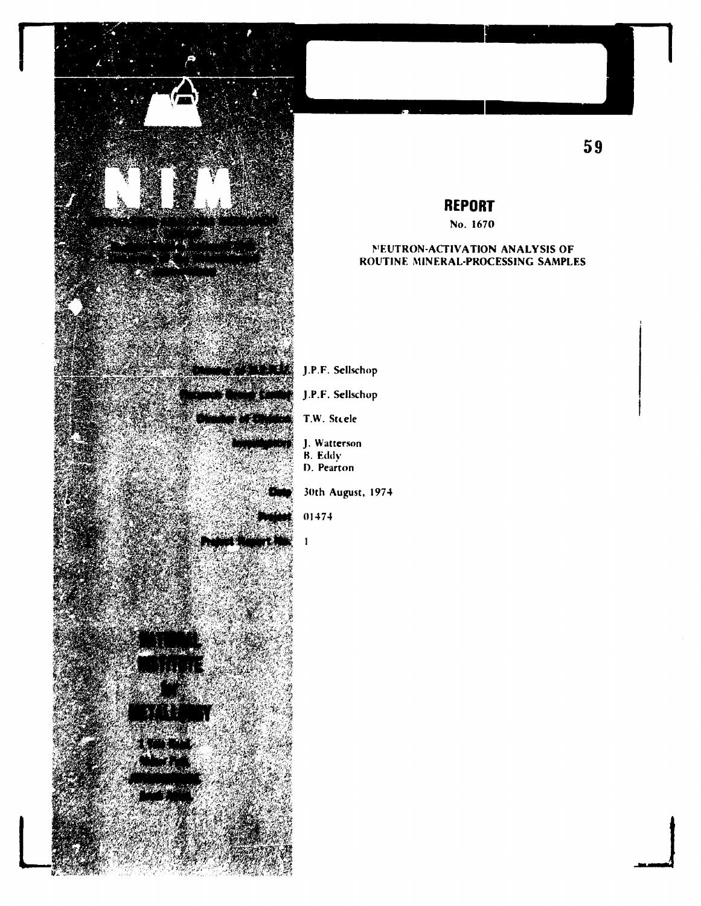

## **REPORT**

No. 1670

## **NEUTRON-ACTIVATION ANALYSIS OF** ROUTINE MINERAL-PROCESSING SAMPLES

- J.P.F. Sellschop
- J.P.F. Sellschop
- T.W. Steele
- J. Watterson
- B. Eddy
- D. Pearton

30th August, 1974

## 01474

 $\mathbf{1}$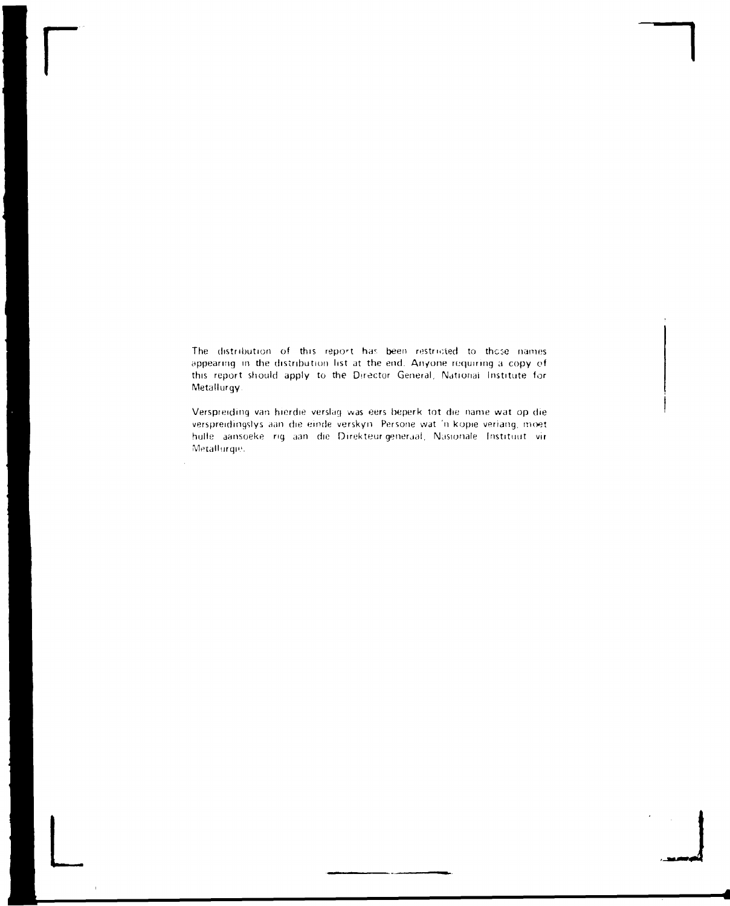The distribution of this report has been restricted to those names. appearing in the distribution list at the end. Anyone requiring a copy of this report should apply to the Director General, National Institute for Metallurgy.

**r** 

Verspreiding van hierdie verslag was eers beperk tot die name wat op die verspreidmgslys aan die emde verskyn Persone wat 'n kopie veriang, moet hulls aansoeke ng aan die Direkteur generaal, Masionale Instituut vir Metallurqie.

**L -** *wtm\*J4*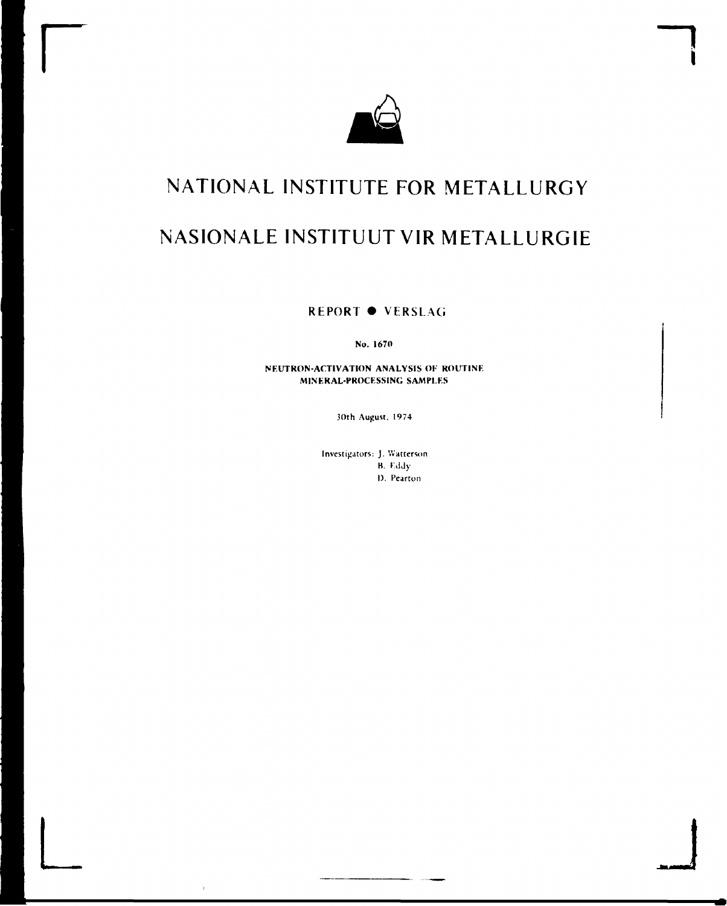

# **NATIONAL INSTITUTE FOR METALLURGY NASIONALE INSTITUUT VIR METALLURGIE**

**REPORT • VERSLAG** 

**No. 1670** 

**NEUTRON-ACTIVATION ANALYSIS OF ROUTINE MINERAL-PROCESSING SAMPLES** 

30th August. 1974

Investigators: J. Watterson B. K.ddy I). Pearton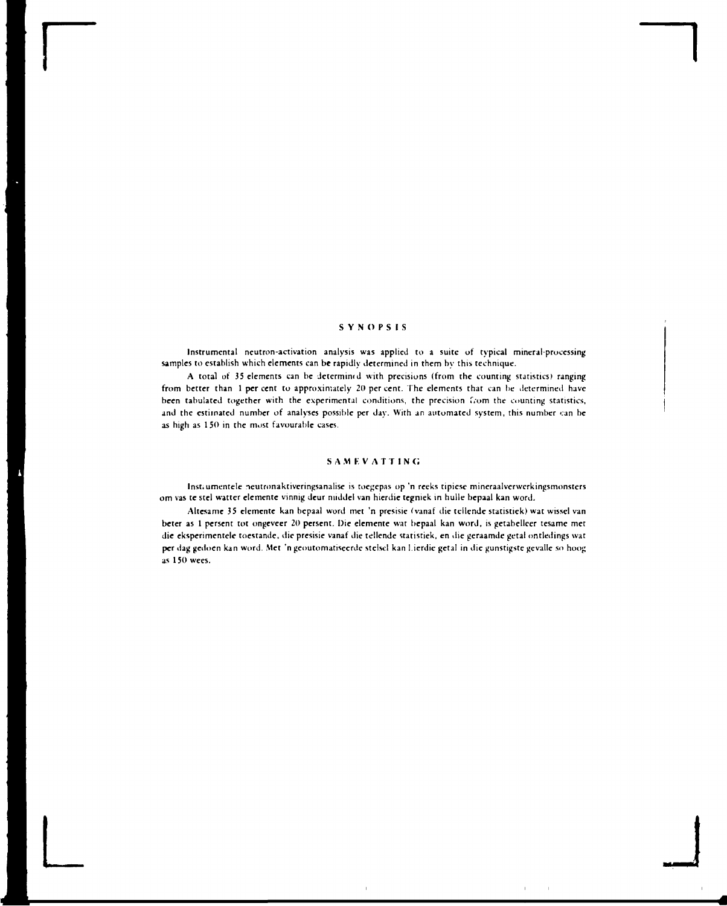## SYNOPSIS

Instrumental neutron-activation analysis was applied to a suite of typical mineral-processing samples to establish which elements can be rapidly determined in them by this technique.

A total of 35 elements can be Jctermimd with precisions (from the counting statistics) ranging from better than 1 percent to approximately 20 percent. The elements that can be determined have been tabulated together with the experimental conditions, the precision f.om the counting statistics, and the estimated number of analyses possible per day. With an automated system, this number can be as high as 1 50 in the most favourable cases.

#### SAMEVATTING

Inst.umentele neutronaktivcringsanalise is toegepas op 'n reeks tipicsc mineraalverwcrkingsmonstcrs om vas te stel watter elemente vinnig dcur middel van hierdie tcgniek in hulle bepaal kan word.

Altesame 35 elemente kan bepaal word met 'n presisie (vanaf die tellende statistiek) wat wissel van beter as 1 persent tot ongeveer 20 perscnt. Die elemente wat bepaal kan word, is getabelleer tesame met die eksperimentele toestande, die presisie vanaf die tellende statistiek, en die geraamde getal ontledings wat per dag gedoen kan word. Met 'n geoutomatiseerde stelsel kan Lierdie getal in die gunstigste gevalle so hoog as 1 50 wees.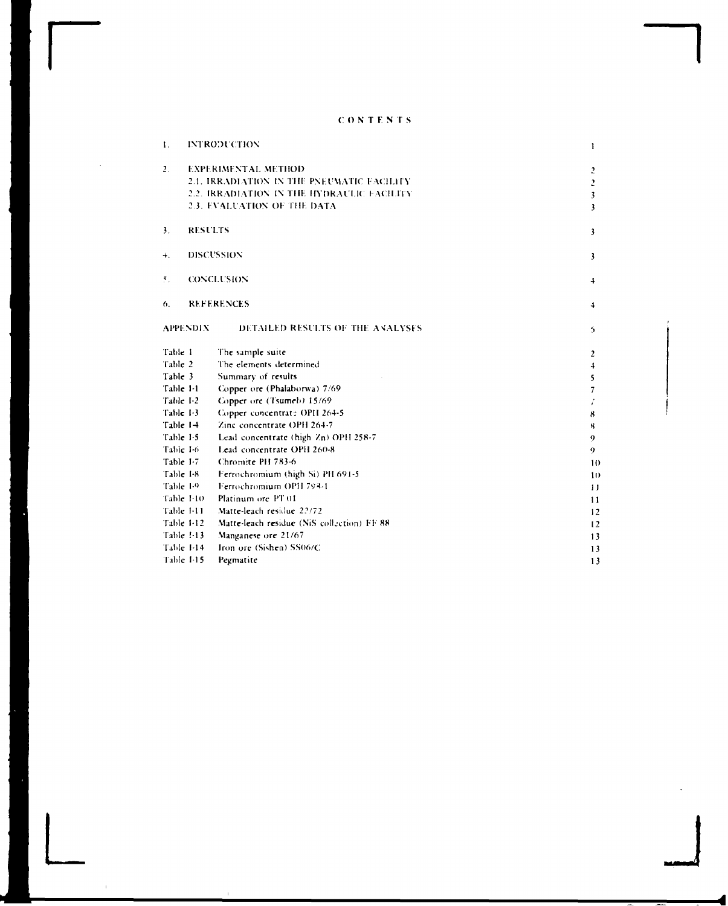## C O N T E N T S

**r** 

**L** 

| 2 <sub>1</sub><br><b>EXPERIMENTAL METHOD</b><br>2.1. IRRADIATION IN THE PNEUMATIC FACILITY<br>2.2. IRRADIATION IN THE HYDRAULIC FACILITY<br>2.3. EVALUATION OF THE DATA<br>3 <sub>1</sub><br><b>RESULTS</b><br>DISCUSSION<br>$+$ .<br><b>CONCLUSION</b><br>$\mathbf{5}_{+}$<br><b>REFERENCES</b><br>6.<br><b>APPENDIX</b><br>DETAILED RESULTS OF THE ANALYSES<br>Table 1<br>The sample suite<br>Table 2<br>The elements determined<br>Table 3<br>Summary of results<br>Table 1-1<br>Copper ore (Phalaborwa) 7/69<br>Copper ore (Tsumeb) 15/69<br>Table 1-2<br>Copper concentrate OPH 264-5<br>Table 1-3<br>Table 14<br>Zinc concentrate OPH 264-7<br>Table 1-5<br>Lead concentrate (high Zn) OPH 258-7<br>Table 1-6<br>Lead concentrate OPH 260-8<br>Chromite PH 783-6<br>Table I-7<br>Table 1-8<br>Ferrochromium (high Si) PH 691-5<br>Ferrochromium OPH 793-1<br>Table 1-9<br>Platinum ore PT 01<br>Table 1-10<br>Table 1-11<br>Matte-leach residue 22/72<br>Matte-leach residue (NiS collection) FF 88<br>Table 1-12<br>Table 1-13<br>Manganese ore 21/67<br>Iron ore (Sishen) SS06/C<br>Table 1-14<br>Table 1-15<br>Pegmatite | 1. | <b>INTRODUCTION</b> | ı                       |
|-----------------------------------------------------------------------------------------------------------------------------------------------------------------------------------------------------------------------------------------------------------------------------------------------------------------------------------------------------------------------------------------------------------------------------------------------------------------------------------------------------------------------------------------------------------------------------------------------------------------------------------------------------------------------------------------------------------------------------------------------------------------------------------------------------------------------------------------------------------------------------------------------------------------------------------------------------------------------------------------------------------------------------------------------------------------------------------------------------------------------------------|----|---------------------|-------------------------|
|                                                                                                                                                                                                                                                                                                                                                                                                                                                                                                                                                                                                                                                                                                                                                                                                                                                                                                                                                                                                                                                                                                                                   |    |                     | $\overline{z}$          |
|                                                                                                                                                                                                                                                                                                                                                                                                                                                                                                                                                                                                                                                                                                                                                                                                                                                                                                                                                                                                                                                                                                                                   |    |                     | $\overline{\mathbf{c}}$ |
|                                                                                                                                                                                                                                                                                                                                                                                                                                                                                                                                                                                                                                                                                                                                                                                                                                                                                                                                                                                                                                                                                                                                   |    |                     | $\overline{\mathbf{3}}$ |
|                                                                                                                                                                                                                                                                                                                                                                                                                                                                                                                                                                                                                                                                                                                                                                                                                                                                                                                                                                                                                                                                                                                                   |    |                     | 3                       |
|                                                                                                                                                                                                                                                                                                                                                                                                                                                                                                                                                                                                                                                                                                                                                                                                                                                                                                                                                                                                                                                                                                                                   |    |                     | 3                       |
|                                                                                                                                                                                                                                                                                                                                                                                                                                                                                                                                                                                                                                                                                                                                                                                                                                                                                                                                                                                                                                                                                                                                   |    |                     | 3                       |
|                                                                                                                                                                                                                                                                                                                                                                                                                                                                                                                                                                                                                                                                                                                                                                                                                                                                                                                                                                                                                                                                                                                                   |    |                     | $\ddotmark$             |
|                                                                                                                                                                                                                                                                                                                                                                                                                                                                                                                                                                                                                                                                                                                                                                                                                                                                                                                                                                                                                                                                                                                                   |    |                     | $\ddotmark$             |
|                                                                                                                                                                                                                                                                                                                                                                                                                                                                                                                                                                                                                                                                                                                                                                                                                                                                                                                                                                                                                                                                                                                                   |    |                     | 5.                      |
|                                                                                                                                                                                                                                                                                                                                                                                                                                                                                                                                                                                                                                                                                                                                                                                                                                                                                                                                                                                                                                                                                                                                   |    |                     | $\overline{2}$          |
|                                                                                                                                                                                                                                                                                                                                                                                                                                                                                                                                                                                                                                                                                                                                                                                                                                                                                                                                                                                                                                                                                                                                   |    |                     | $\downarrow$            |
|                                                                                                                                                                                                                                                                                                                                                                                                                                                                                                                                                                                                                                                                                                                                                                                                                                                                                                                                                                                                                                                                                                                                   |    |                     | 5                       |
|                                                                                                                                                                                                                                                                                                                                                                                                                                                                                                                                                                                                                                                                                                                                                                                                                                                                                                                                                                                                                                                                                                                                   |    |                     | 7                       |
|                                                                                                                                                                                                                                                                                                                                                                                                                                                                                                                                                                                                                                                                                                                                                                                                                                                                                                                                                                                                                                                                                                                                   |    |                     | i                       |
|                                                                                                                                                                                                                                                                                                                                                                                                                                                                                                                                                                                                                                                                                                                                                                                                                                                                                                                                                                                                                                                                                                                                   |    |                     | 8                       |
|                                                                                                                                                                                                                                                                                                                                                                                                                                                                                                                                                                                                                                                                                                                                                                                                                                                                                                                                                                                                                                                                                                                                   |    |                     | R,                      |
|                                                                                                                                                                                                                                                                                                                                                                                                                                                                                                                                                                                                                                                                                                                                                                                                                                                                                                                                                                                                                                                                                                                                   |    |                     | 9                       |
|                                                                                                                                                                                                                                                                                                                                                                                                                                                                                                                                                                                                                                                                                                                                                                                                                                                                                                                                                                                                                                                                                                                                   |    |                     | 9                       |
|                                                                                                                                                                                                                                                                                                                                                                                                                                                                                                                                                                                                                                                                                                                                                                                                                                                                                                                                                                                                                                                                                                                                   |    |                     | 10                      |
|                                                                                                                                                                                                                                                                                                                                                                                                                                                                                                                                                                                                                                                                                                                                                                                                                                                                                                                                                                                                                                                                                                                                   |    |                     | 10                      |
|                                                                                                                                                                                                                                                                                                                                                                                                                                                                                                                                                                                                                                                                                                                                                                                                                                                                                                                                                                                                                                                                                                                                   |    |                     | $\mathbf{1}$            |
|                                                                                                                                                                                                                                                                                                                                                                                                                                                                                                                                                                                                                                                                                                                                                                                                                                                                                                                                                                                                                                                                                                                                   |    |                     | 11                      |
|                                                                                                                                                                                                                                                                                                                                                                                                                                                                                                                                                                                                                                                                                                                                                                                                                                                                                                                                                                                                                                                                                                                                   |    |                     | 12                      |
|                                                                                                                                                                                                                                                                                                                                                                                                                                                                                                                                                                                                                                                                                                                                                                                                                                                                                                                                                                                                                                                                                                                                   |    |                     | 12                      |
|                                                                                                                                                                                                                                                                                                                                                                                                                                                                                                                                                                                                                                                                                                                                                                                                                                                                                                                                                                                                                                                                                                                                   |    |                     | 13                      |
|                                                                                                                                                                                                                                                                                                                                                                                                                                                                                                                                                                                                                                                                                                                                                                                                                                                                                                                                                                                                                                                                                                                                   |    |                     | 13                      |
|                                                                                                                                                                                                                                                                                                                                                                                                                                                                                                                                                                                                                                                                                                                                                                                                                                                                                                                                                                                                                                                                                                                                   |    |                     | 13                      |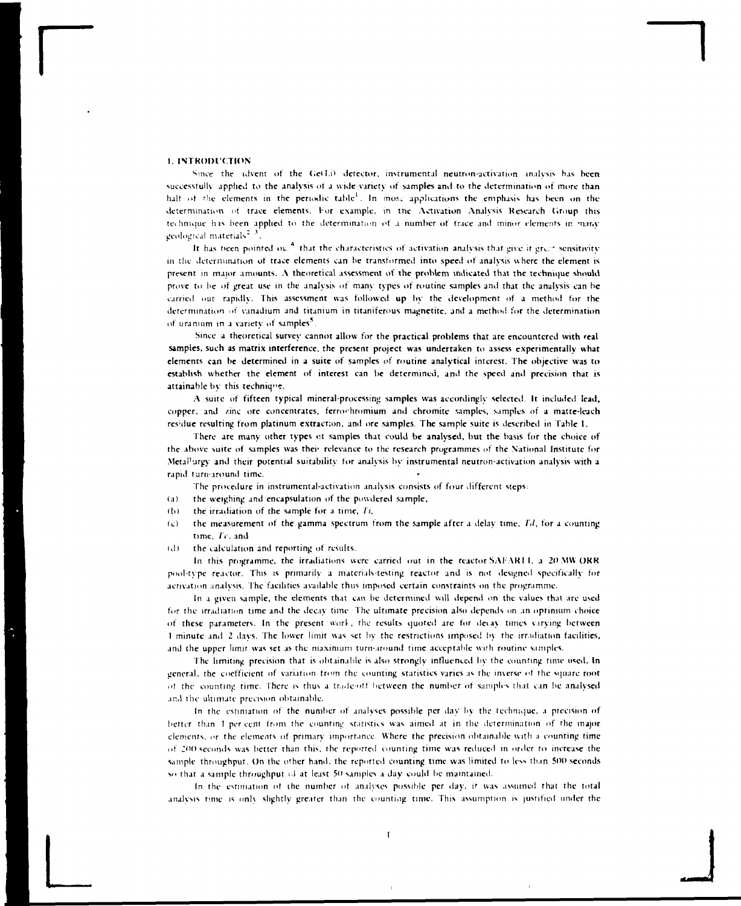## **I. INTROIHCTION**

Since the advent of the Ge(Li) detector, instrumental neutron-activation analysis has been successfully applied to the analysis ot a wide variety of samples ami to the determination of more than half of the elements in the periodic table<sup>1</sup>. In mose applications the emphasis has been on the determination of trace elements. For example, in the Activation Analysis Research Group this tei hniquc his been applied to the determination of a number of trace and minor elements in many geological materials<sup>2</sup> 3

It has been pointed ou.<sup>4</sup> that the characteristics of activation analysis that give it grant sensitivity in the determination of trace elements can he transformed into speed of analysis where the element is present in major amounts. A theoretical assessment of the problem indicated that the technique should prove to he of great use in the analysis of many types of routine samples and that the analysis can be carried nut rapidly. This assessment was followed up by the development of a method for the determination ot vanadium and titanium in titaniferous magnetite, and a method for the determination of uranium in a variety of samples<sup>5</sup>

Since a theoretical survey cannot allow for the practical problems that are encountered with real samples, such as matrix interference, the present project was undertaken to assess experimentally what elements can be determined in a suite of samples of routine analytical interest. The objective was to establish whether the element of interest can be determined, and the speed and precision that is attainable by this technique.

A suite of fifteen typical mineral-processing samples was accordingly selected. It included lead, copper, and zinc ore concentrates, ferrochromium and chromite samples, samples of a matte-leach residue resulting from platinum extraction, and ore samples. The sample suite is described in Table 1.

There are many other types ct samples that could be analysed, but the basis for the choice of the above suite of samples was thei' relevance to the research programmes of the National Institute for Metal'urgy and their potential suitability for analysis by instrumental neutron-activation analysis with a rapid turnaround time.

The procedure in instrumental-activation analysis consists of four different steps:

- (a) the weighing and encapsulation of the powdered sample,
- (b) the irradiation of the sample for a time, *It,*
- (c) the measurement of the gamma spectrum from the sample after a delay time,  $Td$ , for a counting time. Tc, and
- <d) the calculation and reporting of results.

In this programme, the irradiations were carried out in the reactor SAFARI I, a 20 MW ORR pool-type reactor. This is primarily a materials-testing reactor and is not designed specifically for activation analysis. The facilities available thus imposed certain constraints on the programme.

In a given sample, the elements that can be determined will depend on the values that are used for the irradiation time and the decay time. The ultimate precision also depends on an optimum choice of these parameters. In the present work, the results quoted are for decay times varying between 1 minute and 2 davs. The lower limit uas set by the restrictions imposed by the irradiation facilities, and the upper limit was set as the maximum turn-around time acceptable with routine samples.

The limiting precision that is obtainable is also strongly influenced by the counting time used. In general, the coefficient of variation from the counting statistics varies as the inverse of the square root of the counting time. There is thus a trade-off between the number of samples that can be analysed and the ultimate precision obtainable.

In the estimation of the number of analyses possible per day by the technique, a precision of better than I per cent from the counting statistics was aimed at in the determination of the major elements, or the elements of primary importance. Where the precision obtainable with a counting time of 200 seconds was better than this, the reported counting time was reduced in order to increase the sample throughput. On the other hand, the reported counting time was limited to less than 500 seconds so that a sample throughput of at least 50 samples a day could be maintained.

In the estimation ot the number ot analyses possible per day, if was assumed that the total analysis time is onl\ slightly greater than the counting time. This assumption is justified under the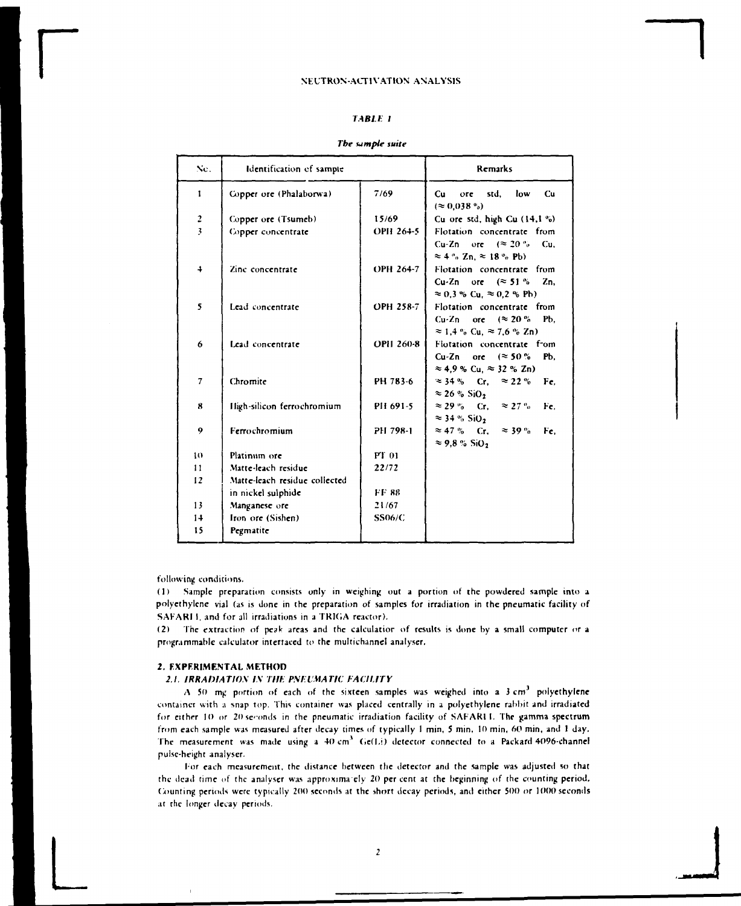## *TABLE I*

| The sample suite |  |  |  |  |  |
|------------------|--|--|--|--|--|
|------------------|--|--|--|--|--|

| Nc.              | Identification of sample      |               | Remarks                                                                                  |
|------------------|-------------------------------|---------------|------------------------------------------------------------------------------------------|
| $\mathbf{I}$     | Copper ore (Phalaborwa)       | 7/69          | std. low<br>Cu<br>Cu<br>ore<br>$(\approx 0.038\degree)$                                  |
|                  | Copper ore (Tsumeb)           | 15/69         | Cu ore std, high Cu $(14, 1\%)$                                                          |
| $\frac{2}{3}$    | Copper concentrate            | OPH 264-5     | Flotation concentrate from                                                               |
|                  |                               |               | Cu-Zn ore $(20\degree)$<br>Cu.<br>$\approx 4$ ° $\sigma$ Zn, $\approx 18$ ° $\sigma$ Pb) |
| $\ddot{\bullet}$ | Zinc concentrate              | OPH 264-7     | Flotation concentrate from                                                               |
|                  |                               |               | Cu-Zn ore $(\approx 51\%$<br>Zn.                                                         |
|                  |                               |               | $\approx 0.3$ % Cu, $\approx 0.2$ % Pb)                                                  |
| 5                | Lead concentrate              | OPH 258-7     | Flotation concentrate from                                                               |
|                  |                               |               | Cu-Zn ore $(\approx 20\%$<br>Pb.                                                         |
|                  |                               |               | $\approx$ 1.4 % Cu, $\approx$ 7.6 % Zn)                                                  |
| 6                | Lead concentrate              | OPH 260-8     | Flotation concentrate from                                                               |
|                  |                               |               | Pb.<br>Cu-Zn<br>ore $($ $\approx$ 50 %                                                   |
|                  |                               |               | $\approx$ 4,9 % Cu, $\approx$ 32 % Zn)                                                   |
| $\tau$           | Chromite                      | PH 783-6      | $\approx$ 34 % Cr. $\approx$ 22 %<br>Fe,                                                 |
|                  |                               |               | $\approx$ 26 % SiO <sub>2</sub>                                                          |
| 8                | High-silicon ferrochromium    | PH 691-5      | $\approx$ 29 % Cr. $\approx$ 27 %<br>Fe.                                                 |
|                  |                               |               | $\approx$ 34 % SiO <sub>2</sub>                                                          |
| 9                | Ferrochromium                 | PH 798-1      | $\approx 47 \%$ Cr. $\approx 39 \%$<br>Fe.                                               |
|                  |                               |               | $\approx$ 9.8 % SiO <sub>2</sub>                                                         |
| 10               | Platinum ore                  | PT 01         |                                                                                          |
| 11               | Matte-leach residue           | 22/72         |                                                                                          |
| 12               | Matte-leach residue collected |               |                                                                                          |
|                  | in nickel sulphide            | <b>FF 88</b>  |                                                                                          |
| 13               | Manganese ore                 | 21/67         |                                                                                          |
| 14               | Iron ore (Sishen)             | <b>SS06/C</b> |                                                                                          |
| 15               | Pegmatite                     |               |                                                                                          |

following conditions.

(1) Sample preparation consists only in weighing out a portion of the powdered sample into a polyethylene vial (as is done in the preparation of samples for irradiation in the pneumatic facility of SAFARI I, and for all irradiations in a TRIGA reactor).

(2) The extraction of peak areas and the calculatior of results is done by a small computer or a programmable calculator interfaced to the multichannel analyser.

## *2.* **EXPERIMENTAL METHOD**

#### *2.1. IRRADIATION IN THE PNEUMATIC FACILITY*

A 50 mg portion of each of the sixteen samples was weighed into a  $3 \text{ cm}^3$  polyethylene container with a snap top. This container was placed centrally in a polyethylene rabbit and irradiated for either 10 or 20 sconds in the pneumatic irradiation facility of SAFARI 1. The gamma spectrum from each sample was measured after decay times of typically 1 min, 5 min, 10 min, 60 min, and 1 day. The measurement was made using a  $40 \text{ cm}^3$  Ge(Li) detector connected to a Packard 4096-channel pulse-height analyser.

For each measurement, the distance between the detector and the sample was adjusted so that the dead time of the analyser was approxima ely 20 per cent at the beginning of the counting period. Counting periods were typically 200 seconds at the short decay periods, and either 500 or 1000 seconds at the longer decay periods.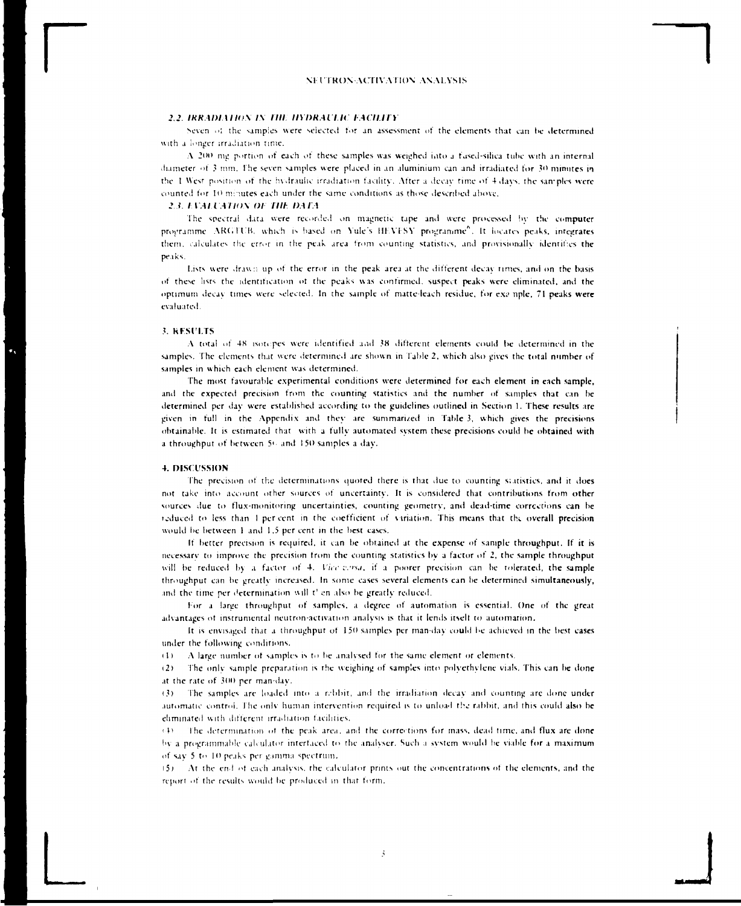### .'..' *IKK Al)l,\ll(>\ IS llll IIYI)RAll H IMIUIY*

Seven of the samples were selected for an assessment of the elements that can be determined with a longer irradiation time.

A 200 mg portion of each of these samples was weighed into a fused-silica tube with an internal diameter of 3 mm. The seven samples were placed in an aluminium can and irradiated for 30 minutes in the 1 West position of the hydraulic irradiation facility. After a decay time of 4 days, the samples were counted for 10 minutes each under the same conditions as those described above.

#### *2 1. I \AI IAIIOS ()l illh DMA*

The spectral data were recorded on magnetic tape and were processed by the computer programme ARGTUB, which is based on Yule's HEVFSY programme<sup>6</sup>. It locates peaks, integrates them, calculates the error in the peak area from counting statistics, and provisionally identifies the peaks.

Lists were drawn up of the error in the peak area at the different decay times, and on the basis of these lists the identification ot the peaks was confirmed, suspect peaks were eliminated, and the optimum decay times were selected. In the sample of matte-leach residue, for example, 71 peaks were evaluated.

#### 3. KrSll.TS

A total of 4X isotopes were identified a.id 38 different elements could be determined in the samples. The elements that were determined are shown in Table 2, which also gives the total number of samples in which each element was determined.

The most favourable experimental conditions were determined for each element in each sample, and the expected precision from the counting statistics and the number of samples that can be determined per day were established according to the guidelines outlined in Section 1. These results are given in full in the Appendix and they arc summarised in Table 3, which gives the precisions obtainable. It is estimated that with a fully automated system these precisions could be obtained with a throughput of between 5' and 150 samples a day.

#### 4. DISCUSSION

The precision of the determinations quoted there is that due to counting statistics, and it does not take into account other sources of uncertainty. It is considered that contributions from other sources due to flux-monitoring uncertainties, counting geometry, and dead-time corrections can be reduced to less than I percent in the coefficient of variation. This means that the overall precision would be between 1 and 1,5 per cent in the best cases.

If better precision is required, it can be obtained at the expense of sample throughput. If it is necessary to improve the precision from the counting statistics by a factor of 2, the sample throughput will be reduced by a factor of 4. Vice earsa, if a poorer precision can be tolerated, the sample throughput can be gre.itlv increased. In some cases several elements can be determined simultaneously, and the time per determination will t' en also be greatly reduced.

For a large throughput of samples, a degree of automation is essential. One of the great advantages ot instrumental neutron-activation analysis is that it lends itself to automation.

It is envisaged that a throughput of 150 samples per man-day could be achieved in the best eases under the following conditions.

ill A large number ot samples is to be analysed for the same clement or elements.

i2) The only sample preparation is the weighing of samples into polyethylene vials. This can be done at the rate of 300 per man-day.

(3) The samples are loaded into a n-bbit, and the irradiation decay and counting arc done under automatic control. The only human intervention required is to unload the rabbit, and this could also be eliminated with different irradiation facilities.

 $i + 1$  The determination of the peak area, and the corrections for mass, dead time, and flux are done hv a programmable tabulator interfaced to the analyser. Such a system would he viable for a maximum of say 5 to 10 peaks per gamma spectrum.

(5) At the end of each analysis, the calculator prints out the concentrations ot the elements, and the report of the results would be produced m that form.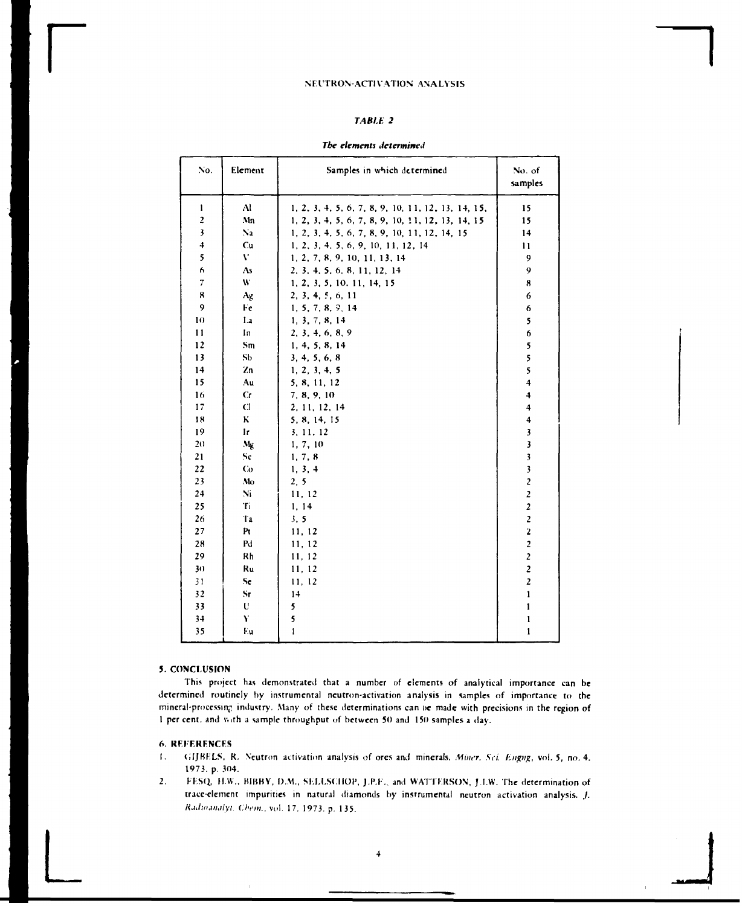### TABLE 2

#### The elements determined

| No.                     | Element        | Samples in which determined                        | No. of<br>samples       |
|-------------------------|----------------|----------------------------------------------------|-------------------------|
| $\mathbf{1}$            | $\mathbf{A}$   | 1, 2, 3, 4, 5, 6, 7, 8, 9, 10, 11, 12, 13, 14, 15, | 15                      |
| $\overline{z}$          | Mn             | 1, 2, 3, 4, 5, 6, 7, 8, 9, 10, 11, 12, 13, 14, 15  | 15                      |
| $\overline{\mathbf{3}}$ | Na             | 1, 2, 3, 4, 5, 6, 7, 8, 9, 10, 11, 12, 14, 15      | 14                      |
| $\ddot{\bullet}$        | Cu             | 1, 2, 3, 4, 5, 6, 9, 10, 11, 12, 14                | 11                      |
| 5                       | V.             | 1, 2, 7, 8, 9, 10, 11, 13, 14                      | 9                       |
| 6                       | As             | 2, 3, 4, 5, 6, 8, 11, 12, 14                       | 9                       |
| $\overline{7}$          | W              | 1, 2, 3, 5, 10, 11, 14, 15                         | 8                       |
| 8                       | Ag             | 2, 3, 4, 5, 6, 11                                  | 6                       |
| 9                       | Fe             | 1, 5, 7, 8, 9, 14                                  | 6                       |
| 10                      | La             | 1, 3, 7, 8, 14                                     | 5                       |
| 11                      | In             | 2, 3, 4, 6, 8, 9                                   | 6                       |
| 12                      | Sm             | 1, 4, 5, 8, 14                                     | 5                       |
| 13                      | S <sub>b</sub> | 3, 4, 5, 6, 8                                      | 5                       |
| 14                      | Zn             | 1, 2, 3, 4, 5                                      | 5                       |
| 15                      | Au             | 5, 8, 11, 12                                       | $\overline{\mathbf{4}}$ |
| 16                      | Cr             | 7, 8, 9, 10                                        | 4                       |
| 17                      | C1             | 2, 11, 12, 14                                      | 4                       |
| 18                      | K              | 5, 8, 14, 15                                       | $\ddot{\phantom{0}}$    |
| 19                      | Ir.            | 3, 11, 12                                          | $\overline{\mathbf{3}}$ |
| 20                      | Mg             | 1, 7, 10                                           | $\overline{\mathbf{3}}$ |
| 21                      | Sc.            | 1, 7, 8                                            | $\overline{\mathbf{3}}$ |
| 22                      | Co             | 1, 3, 4                                            | $\overline{\mathbf{3}}$ |
| 23                      | Mo             | 2, 5                                               | $\overline{\mathbf{c}}$ |
| 24                      | $N_1$          | 11, 12                                             | $\overline{\mathbf{c}}$ |
| 25                      | Ti             | 1, 14                                              | $\overline{c}$          |
| 26                      | Ta             | 3, 5                                               | $\overline{\mathbf{c}}$ |
| 27                      | Pt.            | 11, 12                                             | $\mathbf 2$             |
| 28                      | Pd             | 11, 12                                             | $\overline{\mathbf{c}}$ |
| 29                      | Rh             | 11, 12                                             | $\overline{\mathbf{c}}$ |
| 30                      | Ru             | 11, 12                                             | $\overline{c}$          |
| 31                      | Se             | 11, 12                                             | $\overline{c}$          |
| 32                      | $S_{\Gamma}$   | 14                                                 | $\mathbf{I}$            |
| 33                      | U              | 5                                                  | $\mathbf{1}$            |
| 34                      | ¥              | 5                                                  | $\mathbf{1}$            |
| 35                      | Eu             | 1                                                  | $\mathbf{1}$            |

#### 5. CONCLUSION

This project has demonstrated that a number of elements of analytical importance can be determined routinely by instrumental neutron-activation analysis in samples of importance to the mineral-processing industry. Many of these determinations can be made with precisions in the region of 1 per cent, and with a sample throughput of between 50 and 150 samples a day.

## **6. REFERENCES**

- $\mathbf{L}$ GIJBELS, R. Neutron activation analysis of ores and minerals. Miner. Sci. Engug, vol. 5, no. 4. 1973. p. 304.
- $2.$ FESQ, H.W., BIBBY, D.M., SELLSCHOP, J.P.F., and WATTERSON, J.L.W. The determination of trace-element impurities in natural diamonds by instrumental neutron activation analysis. J. Radioanalyt. Chem., vol. 17, 1973. p. 135.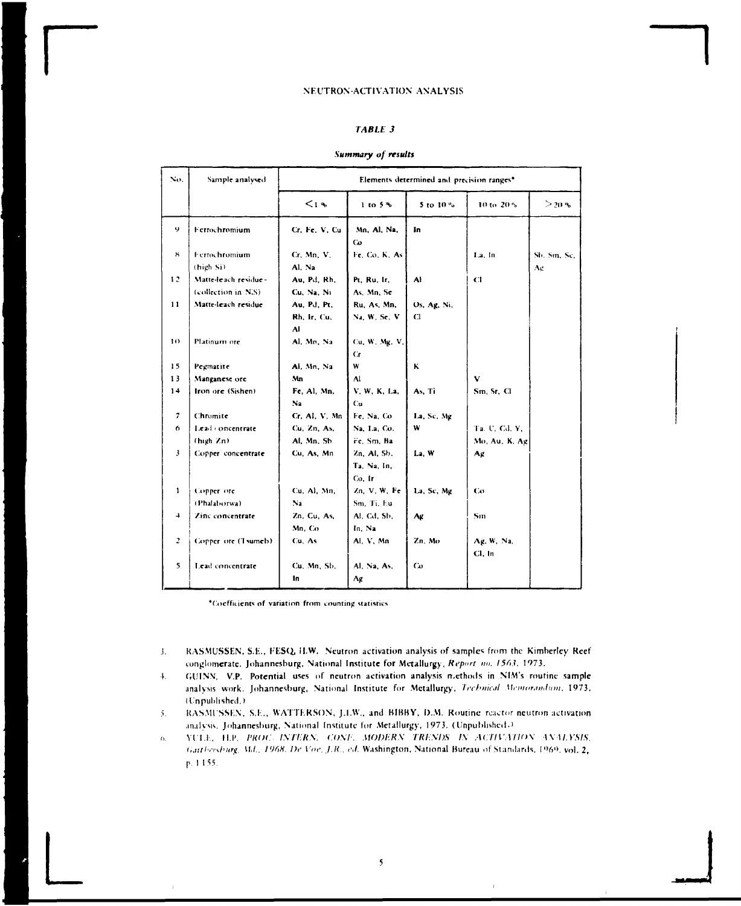## **TABLE 3**

#### Summary of results

| No.            | Sample analysed                             |                                   |                                      | Elements determined and precision ranges <sup>®</sup> |                      |                   |  |  |
|----------------|---------------------------------------------|-----------------------------------|--------------------------------------|-------------------------------------------------------|----------------------|-------------------|--|--|
|                |                                             | 14                                | $1$ to $5%$                          | 5 to $10\%$                                           | 10 to 20 %           | $>$ 20 %          |  |  |
| 9              | Ferrochromium                               | Cr. Fe. V. Cu                     | Mn, Al, Na,<br>Co.                   | In                                                    |                      |                   |  |  |
| ×              | <b>Ferrochromium</b><br>(high Si)           | Cr. Mn. V.<br>Al. Na              | Fe. Co. K. As                        |                                                       | La, In               | Sb. Sm. Sc.<br>Ag |  |  |
| 12             | Matte-leach residue-<br>(collection in N.S) | Au, Pd, Rh.<br>Cu, Na, Ni         | Pt. Ru. Ir.<br>As, Mn, Se            | Al                                                    | C1                   |                   |  |  |
| 11             | Matte-leach residue                         | Au, Pd, Pt,<br>Rh, Ir, Cu,<br>AI. | Ru. As. Mn.<br>Na. W. Se. V.         | Os, Ag, Ni,<br>$\mathbf{C}$                           |                      |                   |  |  |
| $\bf{10}$      | Platinum ore                                | Al. Mn, Na                        | Cu. W. Mg. V.<br>Сr                  |                                                       |                      |                   |  |  |
| 15             | Pegmatite                                   | Al. Mn. Na                        | W                                    | ĸ                                                     |                      |                   |  |  |
| 13             | Manganese ore                               | Mn                                | Al                                   |                                                       | $\mathbf{v}$         |                   |  |  |
| 14             | Iron ore (Sishen).                          | Fe, Al, Mn,                       | V. W. K. La.                         | As. Ti                                                | Sm, Sr, Cl           |                   |  |  |
|                |                                             | N <sub>2</sub>                    | Cu                                   |                                                       |                      |                   |  |  |
| 7              | Chromite                                    | Cr. Al. V. Mn                     | Fe, Na, Co                           | La, Sc, Mg                                            |                      |                   |  |  |
| 6              | Lead concentrate                            | Cu, Zn, As,                       | Na. La. Co.                          | w                                                     | Ta. U, Cd. Y,        |                   |  |  |
|                | (high Zn)                                   | Al, Mn, Sb                        | Fe, Sm, Ba                           |                                                       | Mo, Au, K. Ag        |                   |  |  |
| $\mathbf{3}$   | Copper concentrate                          | Cu. As, Mn                        | Zn. Al. Sb.<br>Ta, Na, In,<br>Co. Ir | La, W                                                 | Ag                   |                   |  |  |
| 1              | Copper ore                                  | Cu, Al, Mn,                       | Zn, V, W, Fe                         | La, Sc, Mg                                            | Co                   |                   |  |  |
|                | (Phalaborwa).                               | $N_{2}$                           | Sm, Ti, Eu                           |                                                       |                      |                   |  |  |
| $\overline{4}$ | Zinc concentrate                            | Zn, Cu, As,                       | Al. Cd. Sb.                          | Λg                                                    | Sm                   |                   |  |  |
|                |                                             | Mn. Co.                           | In. Na                               |                                                       |                      |                   |  |  |
| $\overline{z}$ | Copper ore (Tsumeb).                        | Cu. As                            | Al, V, Mn                            | Zn. Mo                                                | Ag. W. Na.<br>Cl. In |                   |  |  |
| 5              | Lead concentrate                            | Cu. Mn. Sb.<br>In.                | Al, Na, As,<br>Αg                    | Co                                                    |                      |                   |  |  |

\*Coefficients of variation from counting statistics

- RASMUSSEN, S.E., FESQ, H.W. Neutron activation analysis of samples from the Kimberley Reef  $\mathbf{3}$ . conglomerate. Johannesburg, National Institute for Metallurgy, Report no. 1563. 1973.
- GUINN, V.P. Potential uses of neutron activation analysis methods in NIM's routine sample  $\ddot{+}$ . analysis work. Johannesburg, National Institute for Metallurgy, Technical Memorandion, 1973, (Unpublished.)
- RASMUSSEN, S.E., WATTERSON, J.I.W., and BIBBY, D.M. Routine reactor neutron activation  $5.$ analysis, Johannesburg, National Institute for Metallurgy, 1973. (Unpublished.)
- YULE, H.P. PROC. INTERN. CONF. MODERN TRENDS IN ACTIVATION ANALYSIS,  $\alpha$ Garthershurg, Md., 1968. De Voe. J.R., ed. Washington, National Bureau of Standards, 1969. vol. 2, p. 1155.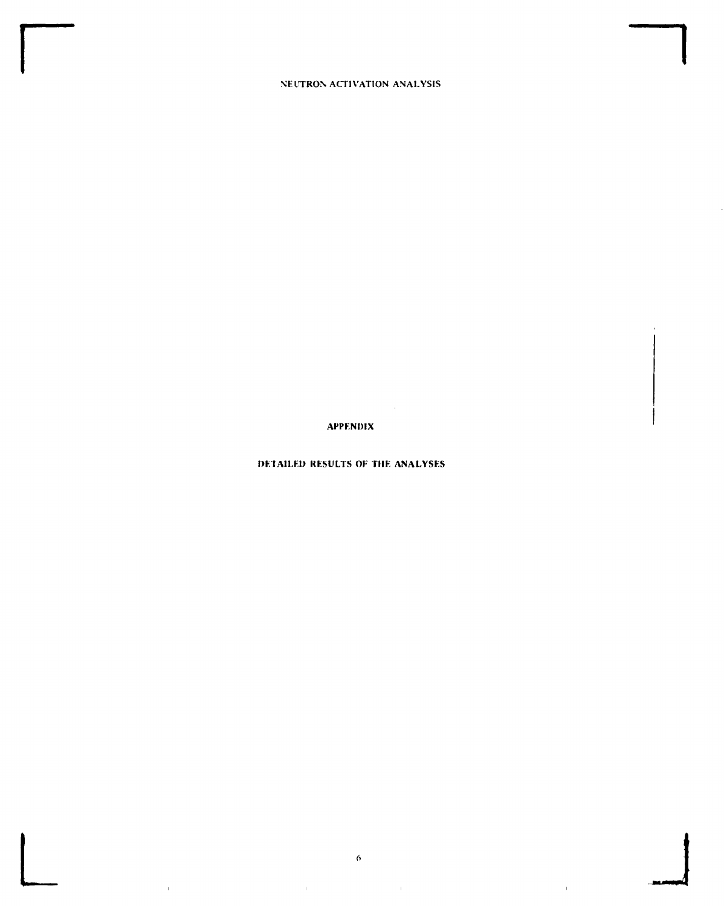**APPENDIX** 

 $\sim 10^7$ 

## DETAILED RESULTS OF THE ANALYSES

 $\boldsymbol{\theta}$ 

 $\bar{1}$ 

 $\mathbf{r}$ 

 $\bar{1}$ 

 $\bar{\Gamma}$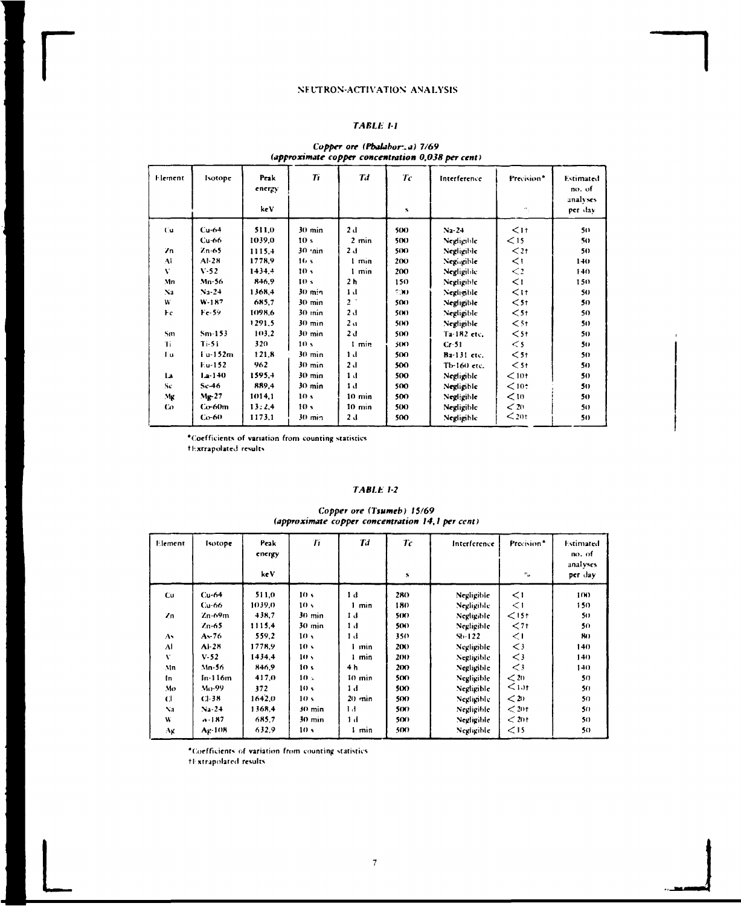## **TABLE 1-1**

## Copper ore (Phalabor: a) 7/69<br>(approximate copper concentration 0,038 per cent)

| Element        | Isotope     | Peak<br>energy<br>keV | $T_{1}$          | Td               | Tc<br>s | Interference | Precision*<br>H., | Estimated<br>no. of<br>analyses<br>per dav |
|----------------|-------------|-----------------------|------------------|------------------|---------|--------------|-------------------|--------------------------------------------|
| Cu.            | $Cu-64$     | 511,0                 | $30$ min         | 2d               | 500     | $Na-24$      | $\leq$ 11         | 50                                         |
|                | $Cu-66$     | 1039,0                | 10 <sub>s</sub>  | $2 \text{ min}$  | 500     | Negligible   | $\leq$ 15         | 50                                         |
| $\mathbf{Z}$   | $Zn-65$     | 1115.4                | 30 min           | 2d               | 500     | Negligible   | $<$ 21            | 50                                         |
| AI             | $Al-28$     | 1778.9                | 16s              | 1 min            | 200     | Negingible   | $\leq$ 1          | $1+0$                                      |
| v              | V.52        | 1434.4                | 10 <sub>5</sub>  | 1 min            | 200     | Negligible   | $\leq$            | 140.                                       |
| Mn             | Mn-56       | 846.9                 | 10 <sub>s</sub>  | 2 <sub>h</sub>   | 150     | Negligible   | $\leq$            | 150.                                       |
| N <sub>2</sub> | $N_2 - 24$  | 1368.4                | $30 \text{ min}$ | 1 <sub>d</sub>   | 50O     | Negligible   | $<$ 11            | 50                                         |
| W              | $W-187$     | 685.7                 | $30 \text{ min}$ | 2 <sup>1</sup>   | 500     | Negligible   | $<$ 51            | 50.                                        |
| Fc.            | $Fe-59$     | 1098.6                | 30 min           | 2 <sub>0</sub>   | 50O     | Negligible   | $<$ 5t            | 50                                         |
|                |             | 1291.5                | $30 \text{ min}$ | 2 <sub>0</sub>   | 50O     | Negligible   | $\leq$ 5t         | 50                                         |
| Sm             | $Sm-153$    | 103,2                 | $30 \text{ min}$ | 2d               | 500     | Ta-182 etc.  | $\leq$ 5 t        | 50                                         |
| Ti             | $Ti$ -51    | 320                   | 10 <sub>5</sub>  | 1 min            | 50O     | $Cr-51$      | $\leq$ 5          | 50                                         |
| Γu             | Fu-152m     | 121.8                 | $30$ min         | 1 d              | 500     | Ba-131 etc.  | $<$ 51            | 50                                         |
|                | Eu-152      | 962                   | $30 \text{ min}$ | 2d               | 500     | Тb-160 еtc.  | $<$ 51            | 50                                         |
| 12             | $1 - 1 + 0$ | 1595.4                | $30 \text{ min}$ | 1 <sub>d</sub>   | 500     | Negligible   | $<$ 10t           | 50                                         |
| Sc             | $Sc-46$     | 889.4                 | $30 \text{ min}$ | 1 <sub>d</sub>   | 500     | Negligible   | $<$ 10 $\div$     | 50                                         |
| Mg             | $M2$ -27    | 1014,1                | 10 <sub>5</sub>  | $10 \text{ min}$ | 500     | Negligible   | < 10              | 50                                         |
| Co             | $Co-60m$    | 13:2.4                | 10 <sub>s</sub>  | $10 \text{ min}$ | 500     | Negligible   | < 20              | 50                                         |
|                | $Co-60$     | 1173,1                | $30 \text{ min}$ | 2d               | 500     | Negligible   | $\leq$ 20t        | 50                                         |

\*Coefficients of variation from counting statistics fExtrapolated results

#### **TABLE 1-2**

## Copper ore (Tsumeb) 15/69<br>(approximate copper concentration 14,1 per cent)

| Element      | Isotope     | Peak<br>energy<br>ke V | Ti               | Td       | 7c<br>5    | Interference | Precision <sup>®</sup><br>$\mathbf{e}_{\mathbf{u}}$ | Estimated<br>no. of<br>analyses<br>per day |
|--------------|-------------|------------------------|------------------|----------|------------|--------------|-----------------------------------------------------|--------------------------------------------|
| Cu.          | Cu-64       | 511,0                  | 10 <sub>s</sub>  | 1 d      | 280        | Negligible   | $\leq$ 1                                            | 100                                        |
|              | Cu-66       | 1039.0                 | 10 <sub>5</sub>  | min      | 180        | Negligible   | $\leq$                                              | 150                                        |
| Zn           | Zn-69m      | 438,7                  | $30 \text{ min}$ | 1 d      | 50O        | Negligible   | $\leq$ 15t                                          | 50                                         |
|              | Zn-65       | 1115.4                 | $30 \text{ min}$ | 1 d      | 5(K)       | Negligible   | $71$                                                | 50                                         |
| As           | As-76       | 559.2                  | 10 <sub>5</sub>  | Εł       | 350        | $Sh-122$     | $\leq$ 1                                            | 80                                         |
| Al           | $AI-28$     | 1778.9                 | 10 <sub>5</sub>  | min      | 200        | Negligible   | $\lt$ 3                                             | 140                                        |
| v            | V.52        | 1434.4                 | 10 <sub>2</sub>  | min      | 200        | Negligible   | $\leq$ 3                                            | 140                                        |
| Mn           | Mn-56       | 846.9                  | 10 <sub>5</sub>  | 4 h      | 200        | Negligible   | $\leq$ 3                                            | 140.                                       |
| Įп.          | $In-116m$   | 417.0                  | 10 <sub>5</sub>  | 10 min   | 500        | Negligible   | $\leq$ 20                                           | 50                                         |
| Mo           | Mo-99       | 372                    | 10 <sup>5</sup>  | 1 d      | <b>500</b> | Negligible   | $1.11$                                              | 50                                         |
| $\mathbf{C}$ | $C1-38$     | 1642.0                 | 10 <sub>5</sub>  | $20$ min | 500        | Negligible   | $20$                                                | 50                                         |
| Na           | $Na-24$     | 1368.4                 | 30 min           | 1 d      | 500        | Negligible   | $<$ 201                                             | 50                                         |
| W            | $-187$      | 6857                   | $30 \text{ min}$ | 1 d      | 500        | Negligible   | < 201                                               | 50                                         |
| Αg           | $A_{k-108}$ | 632.9                  | 10 <sub>s</sub>  | min      | <b>500</b> | Negligible   | $\leq$ 15                                           | 50                                         |

\*Coefficients of variation from counting statistics

tExtrapolated results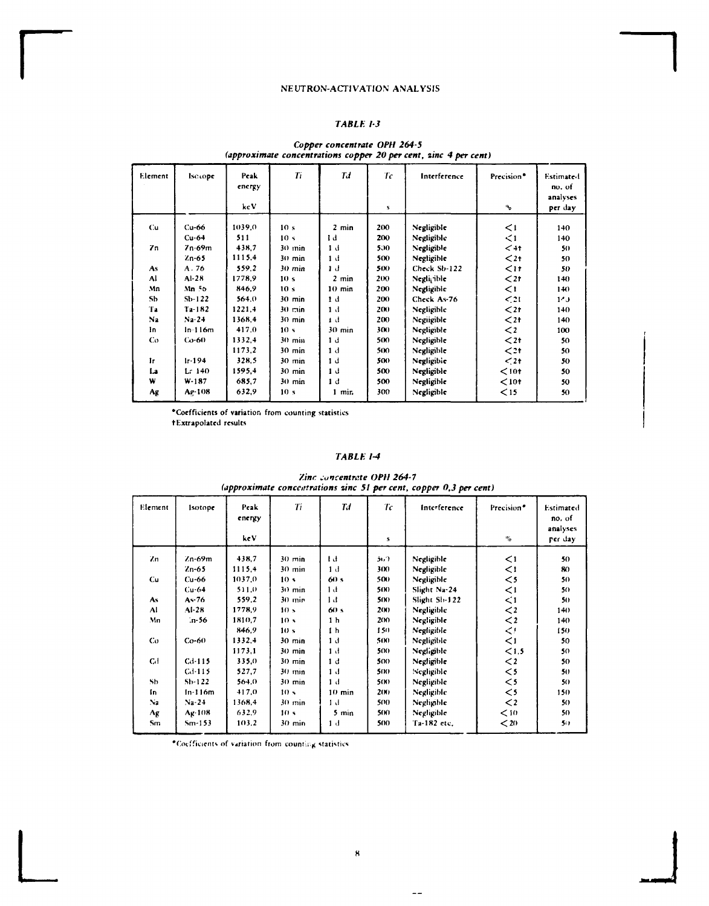## TABLE 1-3

## Copper concentrate OPH 264-5<br>(approximate concentrations copper 20 per cent, zinc 4 per cent)

| Element        | Iscrope    | Peak<br>energy<br>kc V | Ti               | Td              | Тc<br>$\mathbf{s}$ | Interference | Precision <sup>®</sup><br>$\mathbf{u_0}$ | <b>Estimated</b><br>no, of<br>analyses<br>per day |
|----------------|------------|------------------------|------------------|-----------------|--------------------|--------------|------------------------------------------|---------------------------------------------------|
|                |            |                        |                  |                 |                    |              |                                          |                                                   |
| Cu             | $Cu-66$    | 1039.0                 | 10 <sub>s</sub>  | $2 \text{ min}$ | 200                | Negligible   | $\leq$ 1                                 | 140                                               |
|                | $Cu-64$    | 511                    | 10 <sub>5</sub>  | Ιd              | 200                | Negligible   | $\leq$ 1                                 | 140                                               |
| Zn             | 7n-69m     | 438.7                  | $30 \text{ min}$ | 1 d             | 500                | Negligible   | $<$ 4t                                   | 50                                                |
|                | $2n-65$    | 1115.4                 | $30$ min         | 1 d             | 500                | Negligible   | $2t$                                     | 50                                                |
| As             | A.76       | 5592                   | 30 min           | Тđ              | 500                | Check Sb-122 | $\leq$ 17                                | 50                                                |
| Al             | $AI-28$    | 1778.9                 | 10 <sub>s</sub>  | $2$ min         | 200                | Negli, ible  | $\leq$ 2t                                | 140                                               |
| Mn             | Mn 56      | 846.9                  | 10 <sub>s</sub>  | $10$ min        | 200                | Negligible   | $\leq$                                   | $140 -$                                           |
| Sb             | $Sb-122$   | 564.0                  | $30$ min         | 1 d             | 200                | Check As-76  | $\leq$ 21                                | 1 <sub>0</sub>                                    |
| Ŧа             | $Ta-182$   | 1221.4                 | $30 \text{ min}$ | 1 d             | 200                | Negligible   | $\leq$ 2t                                | 140                                               |
| N <sub>2</sub> | Na-24      | 1368.4                 | $30 \text{ min}$ | 1 đ             | 200                | Negiigible   | $2t$                                     | 140                                               |
| In             | $ln-116m$  | 417.0                  | 10 <sub>5</sub>  | $30$ min        | 300                | Negligible   | $\mathbf{<}$                             | 100                                               |
| Cо             | $Co-60$    | 1332,4                 | $30 \text{ min}$ | 1 <sub>d</sub>  | 500                | Negligible   | $2t$                                     | 50                                                |
|                |            | 1173.2                 | $30$ min         | 1 <sub>d</sub>  | 500                | Negligible   | $\leq$ 2t                                | 50                                                |
| 1r             | $1r - 194$ | 328.5                  | $30$ min         | 1 <sub>d</sub>  | 500                | Negligible   | $\leq 2+$                                | 50                                                |
| La             | L: 140     | 1595,4                 | $30$ min         | 1 d             | 500                | Negligible   | $10t$                                    | 50                                                |
| W              | $W-187$    | 685.7                  | $30$ min         | 1 <sub>d</sub>  | 500                | Negligible   | $10t$                                    | 50                                                |
| Ag             | Ag-108     | 632.9                  | 10 <sub>s</sub>  | 1 min           | 300                | Negligible   | $\leq$ 15                                | 50                                                |
|                |            |                        |                  |                 |                    |              |                                          |                                                   |

\*Coefficients of variation from counting statistics +Extrapolated results

## TABLE 1-4

Zinc concentrate OPH 264-7 (approximate concentrations zinc 51 per cent, copper 0,3 per cent)

| no, of<br>analyses<br>per day | Precision*<br>$\mathbf{e}_0$                                                                                     | Interference                                                                                                                                            | Тc<br>s                                                                    | Tđ                                                                                                                                      | Ti                                                                                                                                                                                         | Peak<br>energy<br>ke V                                                                              | Isotope                                                                                                 | Element                                                  |
|-------------------------------|------------------------------------------------------------------------------------------------------------------|---------------------------------------------------------------------------------------------------------------------------------------------------------|----------------------------------------------------------------------------|-----------------------------------------------------------------------------------------------------------------------------------------|--------------------------------------------------------------------------------------------------------------------------------------------------------------------------------------------|-----------------------------------------------------------------------------------------------------|---------------------------------------------------------------------------------------------------------|----------------------------------------------------------|
| 50                            | $\leq$ 1                                                                                                         | Negligible                                                                                                                                              | 51.7                                                                       | Тđ                                                                                                                                      | $30 \text{ min}$                                                                                                                                                                           | 438.7                                                                                               | Zn-69m                                                                                                  | Zn                                                       |
| 80                            | $\leq$                                                                                                           | Negligible                                                                                                                                              | 300                                                                        | 1 d                                                                                                                                     | $30 \text{ min}$                                                                                                                                                                           | 1115.4                                                                                              | $2n-65$                                                                                                 |                                                          |
| 50                            | $\leq$ 5                                                                                                         | Negligible                                                                                                                                              | 500                                                                        | 60 s                                                                                                                                    | 10 <sub>s</sub>                                                                                                                                                                            | 1037.0                                                                                              | $Cu-66$                                                                                                 | Cu.                                                      |
| 50                            | $\leq$ 1                                                                                                         | Slight Na-24                                                                                                                                            | 50O                                                                        | Ιđ                                                                                                                                      | $30$ min                                                                                                                                                                                   | 511.0                                                                                               | $Cu-64$                                                                                                 |                                                          |
| 50                            | $\leq$ 1                                                                                                         | Slight Sb-122                                                                                                                                           | 50O                                                                        | Ьđ                                                                                                                                      | $30$ min                                                                                                                                                                                   | 559.2                                                                                               | $As-76$                                                                                                 | As                                                       |
| 140                           | $\lt$ 2                                                                                                          | Negligible                                                                                                                                              | 2(N)                                                                       | 60s                                                                                                                                     | 10 <sub>s</sub>                                                                                                                                                                            | 1778,9                                                                                              | $AI-28$                                                                                                 | $\Lambda$                                                |
| 140                           |                                                                                                                  |                                                                                                                                                         |                                                                            |                                                                                                                                         |                                                                                                                                                                                            |                                                                                                     |                                                                                                         |                                                          |
| 150                           |                                                                                                                  |                                                                                                                                                         |                                                                            |                                                                                                                                         |                                                                                                                                                                                            |                                                                                                     |                                                                                                         |                                                          |
| 50                            |                                                                                                                  |                                                                                                                                                         |                                                                            |                                                                                                                                         |                                                                                                                                                                                            |                                                                                                     |                                                                                                         |                                                          |
| 50                            |                                                                                                                  |                                                                                                                                                         |                                                                            |                                                                                                                                         |                                                                                                                                                                                            |                                                                                                     |                                                                                                         |                                                          |
| 50                            |                                                                                                                  |                                                                                                                                                         |                                                                            |                                                                                                                                         |                                                                                                                                                                                            |                                                                                                     |                                                                                                         |                                                          |
| 50                            |                                                                                                                  |                                                                                                                                                         |                                                                            |                                                                                                                                         |                                                                                                                                                                                            |                                                                                                     |                                                                                                         |                                                          |
| 50                            |                                                                                                                  |                                                                                                                                                         |                                                                            |                                                                                                                                         |                                                                                                                                                                                            |                                                                                                     |                                                                                                         |                                                          |
| 150                           |                                                                                                                  |                                                                                                                                                         |                                                                            |                                                                                                                                         |                                                                                                                                                                                            |                                                                                                     |                                                                                                         |                                                          |
| 50                            |                                                                                                                  |                                                                                                                                                         |                                                                            |                                                                                                                                         |                                                                                                                                                                                            |                                                                                                     |                                                                                                         |                                                          |
| 50                            |                                                                                                                  |                                                                                                                                                         |                                                                            |                                                                                                                                         |                                                                                                                                                                                            |                                                                                                     |                                                                                                         |                                                          |
| 50                            |                                                                                                                  |                                                                                                                                                         |                                                                            |                                                                                                                                         |                                                                                                                                                                                            |                                                                                                     |                                                                                                         |                                                          |
|                               | $\lt$ 2<br>$\leq$<br>$\leq$ 1<br>< 1.5<br>$\lt$ 2<br>$\leq$ 5<br>$\leq$ 5<br>$\leq$ 5<br>$\lt$ 2<br>< 10<br>$20$ | Negligible<br>Negligible<br>Negligible<br>Negligible<br>Negligible<br>Negligible<br>Negligible<br>Negligible<br>Negligible<br>Negligible<br>Ta-182 etc. | 200<br>150<br>500<br>500<br>500<br>500<br>50O<br>2(N)<br>500<br>50O<br>500 | 1 <sub>h</sub><br>1 <sub>h</sub><br>1 <sub>d</sub><br>1 d<br>1 d<br>1 <sub>d</sub><br>1 <sub>d</sub><br>$10$ min<br>1 d<br>5 min<br>1 d | 10 <sub>s</sub><br>10 <sub>s</sub><br>$30 \text{ min}$<br>$30$ min<br>$30 \text{ min}$<br>30 min<br>$30 \text{ min}$<br>10 <sub>s</sub><br>$30 \text{ min}$<br>10 <sub>s</sub><br>$30$ min | 1810.7<br>846.9<br>1332.4<br>1173,1<br>335.0<br>527,7<br>564.0<br>417.0<br>1368.4<br>632.9<br>103.2 | ∴n-56<br>$Co-60$<br>$Cd$ -115<br>$C1$ -115<br>$Sh-122$<br>$In-116m$<br>$N_2 - 24$<br>Ag-108<br>$Sm-153$ | Mn<br>Co<br>C <sub>d</sub><br>Sb<br>In<br>Na<br>Λg<br>Sm |

\*Coefficients of variation from counting statistics

 $\sim$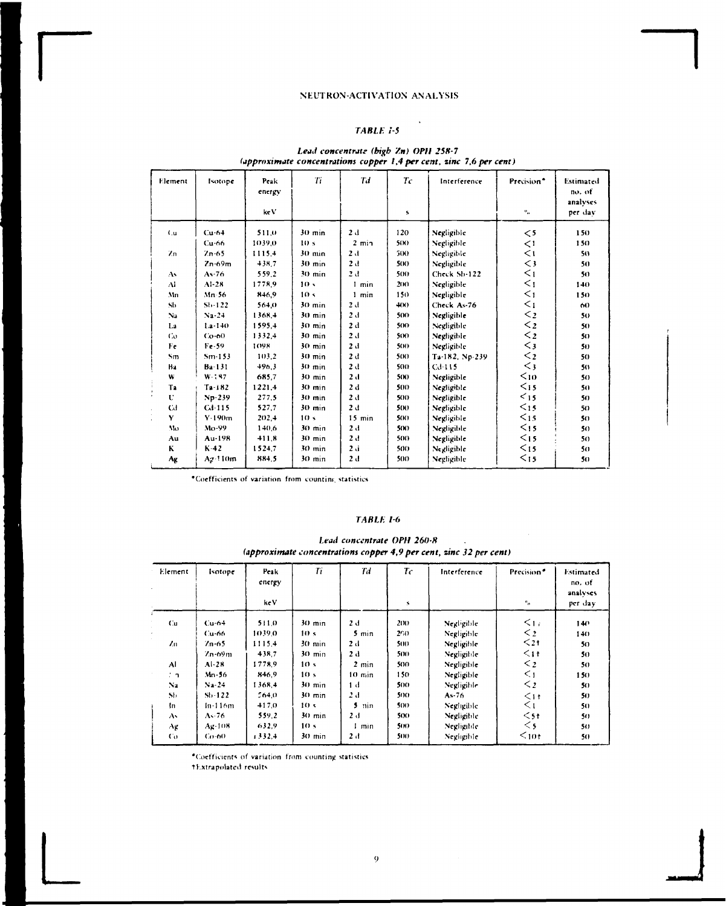## TABLE 1-5

l,

## Lead concentrate (bigb Zn) OPH 258-7<br>(approximate concentrations copper 1,4 per cent, zinc 7,6 per cent)

| Element                       | Isotope         | Peak<br>energy | Ti               | Td             | $T_c$ | Interference   | Precision <sup>*</sup>    | Estimated<br>no. of |
|-------------------------------|-----------------|----------------|------------------|----------------|-------|----------------|---------------------------|---------------------|
|                               |                 | ke V           |                  |                | s     |                | $\mathbf{e}_{\mathbf{a}}$ | analyses<br>per day |
| ίu.                           | $Cu-64$         | 511.0          | $30 \text{ min}$ | 2d             | 120   | Negligible     | $\leq$ 5                  | 150                 |
|                               | $Cu-66$         | 1039.0         | 10 <sub>s</sub>  | $2$ min        | 50O   | Negligible     | $\leq$                    | 150                 |
| $\mathbf{Z}$ n                | $7n-65$         | 1115.4         | $30 \text{ min}$ | 2 <sub>1</sub> | 500   | Negligible     | $\leq$                    | 50                  |
|                               | $Zn-69m$        | 438.7          | $30$ min         | 2d             | 500   | Negligible     | $\leq$ 3                  | 50                  |
| As                            | $A - 76$        | 559.2          | $30$ min         | 2 d            | 500   | Check Sb-122   | $\leq$ <sub>1</sub>       | 50                  |
| $\Lambda$                     | $AI-28$         | 1778.9         | 10 <sub>5</sub>  | 1 min          | 200   | Negligible     | $\leq_1$                  | 140                 |
| Mn                            | $Mn-56$         | 846.9          | 10 <sub>s</sub>  | $1$ min        | 150   | Negligible     | $\leq_1$                  | 150                 |
| Sh                            | $Sb-122$        | 564.0          | $30 \text{ min}$ | 2d             | $+00$ | Check As-76    | $\leq_1$                  | 60                  |
| Na                            | $Na-24$         | 1368.4         | 30 min           | 2 d            | 500   | Negligible     | $\leq$ <sub>2</sub>       | 50                  |
| 1.a                           | $1.a - 140$     | 1595.4         | 30 min           | 2d             | 500   | Negligible     | $\leq$ 2                  | 50                  |
| Co                            | $Co-60$         | 1332.4         | $30 \text{ min}$ | 2d             | 500   | Negligible     | $\leq$ 2                  | 5()                 |
| Fe                            | $Fe-59$         | 1098           | $30$ min         | 2d             | 500   | Negligible     | $\leq$ 3                  | 50                  |
| Sm                            | $Sm-153$        | 103.2          | $30$ min         | 2d             | 500   | Ta-182, Np-239 | $\leq$ 2                  | 50                  |
| Ba                            | Ba-131          | 496.3          | $30$ min         | 2d             | 500   | $C_{1}$ -115   | $\leq$ 3                  | 50                  |
| W                             | $W - 197$       | 685.7          | $30$ min         | 2d             | 50O   | Negligible     | $10$                      | 50                  |
| Ta                            | $Ta-182$        | 1221.4         | $30 \text{ min}$ | 2d             | 500   | Negligible     | $15$                      | 50                  |
| $\overline{\phantom{a}}$<br>U | $Np-239$        | 277.5          | $30 \text{ min}$ | 2d             | 500   | Negligible     | $15$                      | 50                  |
| <b>Cd</b>                     | Cd-115          | 527.7          | 30 min           | 2d             | 5()   | Negligible     | $\leq$ 15                 | 50                  |
| Y<br>à.                       | $V-190m$        | 202.4          | 10 <sub>s</sub>  | $15$ min       | 500   | Negligible     | $15$                      | 50                  |
| $M$                           | $Mo-99$         | 140,6          | 30 min           | 2d             | 5(N)  | Negligible     | $15$                      | 50                  |
| Au                            | Au-198          | 411.8          | $30$ min         | 2d             | 500   | Negligible     | $15$                      | 50                  |
| K.                            | $K-42$          | 1524.7         | 30 min           | 2d             | 500   | Negligible     | $15$                      | 50                  |
| Ag                            | $Aq \cdot 110m$ | 884.5          | $30 \text{ min}$ | 2d             | 500   | Negligible     | $15$                      | 50                  |

\*Coefficients of variation from counting statistics

## TABLE 1-6

#### Lead concentrate OPH 260-8  $\mathbb{Z}$ (approximate concentrations copper 4,9 per cent, zinc 32 per cent)

| Element         | <b>Isotope</b> | Peak<br>energy | Ti               | Td               | $T_C$           | Interference | Precision <sup>®</sup> | Estimated<br>no. of<br>analyses |
|-----------------|----------------|----------------|------------------|------------------|-----------------|--------------|------------------------|---------------------------------|
|                 |                | ke V           |                  |                  | 8               |              | $\mathbf{u}_{\alpha}$  | per day                         |
| Cu.             | $Cu-64$        | 511.0          | $30 \text{ min}$ | 2 d              | 20 <sub>0</sub> | Negligible   | $\leq_{17}$            | 140                             |
|                 | <b>Cu-66</b>   | 1039.0         | 10 <sub>s</sub>  | $5$ min          | 260             | Negligible   | $\leq$ 2               | 140                             |
| $\ell_{\rm fl}$ | $7n-65$        | 1115.4         | $30 \text{ min}$ | 2d               | 500             | Negligible   | $\leq$ 21              | 50                              |
|                 | $2n-69m$       | 438.7          | $30$ min         | 2d               | 500             | Negligible   | $\leq$ 1 t             | 50                              |
| Al              | $Al-2B$        | 1778.9         | 10 <sub>s</sub>  | $2 \text{ min}$  | 500             | Negligible   | $\leq_2$               | 50                              |
| ÷п.             | Mn-56          | 846,9          | 10 <sub>s</sub>  | $10 \text{ min}$ | 150             | Negligible   | $\leq$ 1               | 150                             |
| $N_{\rm H}$     | $Na-24$        | 1368.4         | $30 \text{ min}$ | 1 d              | 500             | Negligible   | $\leq$ 2               | 5()                             |
| S <sub>b</sub>  | $Sh-122$       | 564,0          | $30 \text{ min}$ | 2 d              | 500             | $As - 76$    | $\leq$ 1 t             | 50                              |
| In              | $In-116m$      | 417.0          | 10 <sup>5</sup>  | nin<br>5         | 50O             | Negligible   | $\leq$ 1               | 50                              |
| A٠              | $A - 76$       | 559.2          | $30 \text{ min}$ | 2 d              | 500             | Negligible   | $<$ 5 t                | 50                              |
| Αg              | Ag-108         | 6329           | 10 <sub>s</sub>  | 1 min            | 5(H)            | Negligible   | $\leq$ 5               | 50                              |
| Co.             | $Co-60$        | 1332.4         | 30 min           | 2d               | 500             | Negligible   | $\leq$ 10t             | 50                              |

\*Coefficients of variation from counting statistics

+Extrapolated results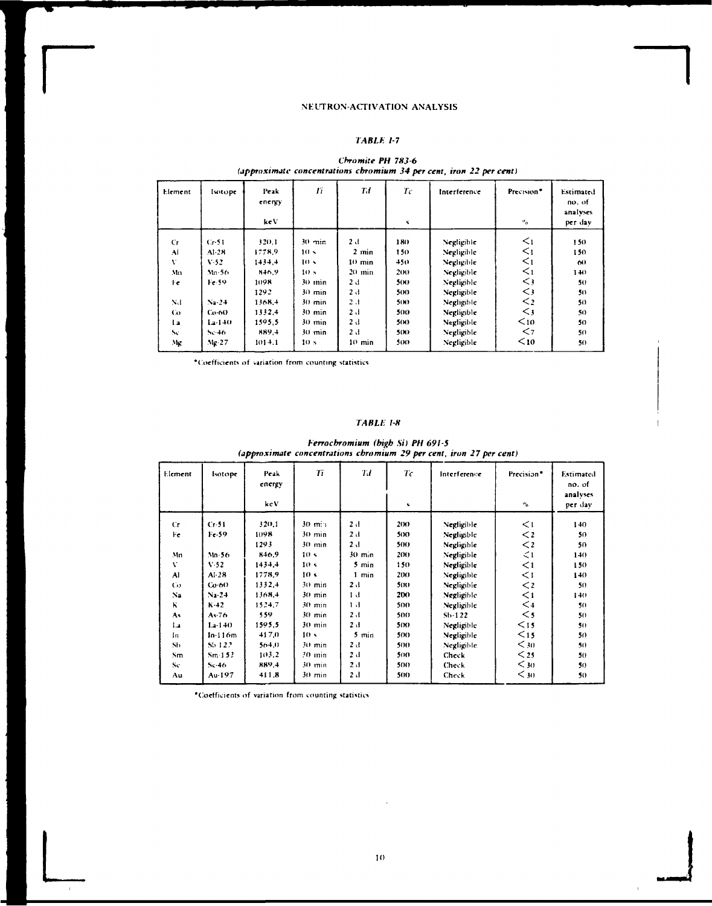## *TABLE 1-7*

| Cr<br>$C1$ -51<br>Al<br>A1-28<br>V<br>$V - 52$<br>Mn<br>Mn-56.<br>Fe 59<br>Fe | 320.1<br>1778.9                                                             | $30 \text{ min}$                                                                                                                                              | 2 d                                                                               |                                                                      |                                                                                                                                          |                                                                                                                             |                                                                 |
|-------------------------------------------------------------------------------|-----------------------------------------------------------------------------|---------------------------------------------------------------------------------------------------------------------------------------------------------------|-----------------------------------------------------------------------------------|----------------------------------------------------------------------|------------------------------------------------------------------------------------------------------------------------------------------|-----------------------------------------------------------------------------------------------------------------------------|-----------------------------------------------------------------|
| Nd<br>$Na-24$<br>$\omega$<br>$Co-60$<br>12<br>i.a-140<br>Sc<br>Se-46          | $1 + 3 + 4$<br>846.9<br>1098<br>1292<br>1368.4<br>1332.4<br>1595.5<br>889,4 | 10 <sub>2</sub><br>10 <sup>5</sup><br>10 <sub>s</sub><br>$30$ min<br>$30 \text{ min}$<br>$30 \text{ min}$<br>$30 \text{ min}$<br>$30 \text{ min}$<br>$30$ min | $2 \text{ min}$<br>10 min<br>$20$ $min$<br>2 d<br>2 J<br>2 J<br>2 J<br>2 d<br>2 d | 180.<br>150<br>450<br>200<br>500<br>500<br>50O<br>500<br>500<br>5(N) | Negligible<br>Negligible<br>Negligible<br>Negligible<br>Negligible<br>Negligible<br>Negligible<br>Negligible<br>Negligible<br>Negligible | $\leq_1$<br>$\leq_1$<br>$\leq_1$<br>$\leq_1$<br>$\leq$<br>$\mathord{<}$ 3<br>$\leq$<br>$\lt$ <sub>3</sub><br>$10$<br>$\leq$ | 150<br>150<br>60<br>$1 + 0$<br>50<br>50<br>50<br>50<br>50<br>50 |

## *Chromite PH 7X3-6 (approximate concentrations chromium 34 per cent, iron 22 per cent)*

•(Coefficients of variation from counting statistics

### *TABLE 1-8*

*herrochromium (high Si) PH 691-5 (approximate concentrations chromium 29 percent, iron 27 per cent)* 

| Element | Isotope      | Peak<br>energy<br>kcV | Tï               | Td               | $T\epsilon$<br>$\mathbf{N}$ | Interference | Precision <sup>*</sup><br>$\mathbf{e}_\alpha$ | Estimated<br>no. of<br>analyses<br>per day |
|---------|--------------|-----------------------|------------------|------------------|-----------------------------|--------------|-----------------------------------------------|--------------------------------------------|
| Cr.     | Cr.51        | 320.1                 | $30 \text{ m}$   | 2 d              | 2(M)                        | Negligible   | $\leq$ 1                                      | 140                                        |
| Fe      | Fe-59        | 1098                  | $30 \text{ min}$ | 2d               | 500                         | Negligible   | $\lt$ 2                                       | 50                                         |
|         |              | 1293                  | $30$ min         | 2d               | 50O                         | Negligible   | $\lt$ 2                                       | 50                                         |
| Mn      | $Mn-56$      | 846.9                 | 10 <sub>5</sub>  | $30 \text{ min}$ | 200                         | Negligible   | $\leq$ 1                                      | 140                                        |
| v       | V.52         | 1434.4                | 10 <sub>5</sub>  | 5 min            | 150                         | Negligible   | $\leq$ 1                                      | 150                                        |
| Al      | $AI-28$      | 1778.9                | 10 <sub>s</sub>  | $1$ min          | 200                         | Negligible   | $\lt$ 1                                       | 140                                        |
| Co      | $Co-60$      | 1332.4                | 30 min           | 2 d              | 500                         | Negligible   | $\lt$ 2                                       | 50                                         |
| Na      | $N_2$ 24     | 1368.4                | $30$ min         | 1 d              | 200                         | Negligible   | $\leq$ 1                                      | 140                                        |
| κ       | $K-12$       | 1524.7                | $30 \text{ min}$ | 1 <sub>1</sub>   | 500                         | Negligible   | $\leq$                                        | 50                                         |
| As      | $As-76$      | 559                   | $30$ min         | 2d               | 500.                        | $5b-122$     | $\leq$                                        | 50                                         |
| 1.4     | $1.2 - 1.40$ | 1595.5                | $30$ min         | 2 d              | 50O                         | Negligible   | $15$                                          | 50                                         |
| In.     | $ln-116m$    | 417.0                 | 10 <sub>x</sub>  | 5 min            | 500                         | Negligible   | $15$                                          | 50                                         |
| Sh      | $55 - 127$   | 504,0                 | $30 \text{ min}$ | 2 d              | 500                         | Negligible   | $30$                                          | 50                                         |
| Sm.     | $Sm-1.5.2$   | 103.2                 | $20 \text{ min}$ | 2d               | 500                         | Check        | $25$                                          | 50                                         |
| Sc.     | $5c - 46$    | 889.4                 | 30 min           | 2d               | 500.                        | Check        | $30$                                          | 50                                         |
| Au      | Au-197       | 411.8                 | 30 min           | 2 d              | 500                         | Check        | $<$ 30                                        | 50                                         |

'Coefficients of variation from counting statistics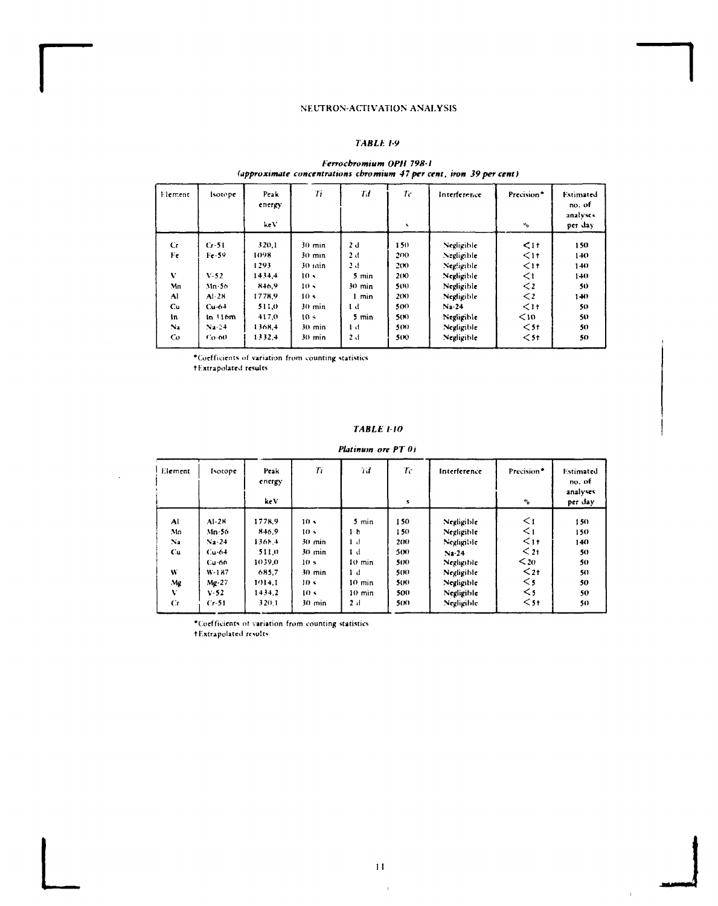## TABLE 1-9

## Ferrochromium OPH 798-1<br>(approximate concentrations chromium 47 per cent, iron 39 per cent)

| Element        | <b>Isotope</b> | Peak<br>energy<br>keV. | Ti               | Tđ               | Ŧс   | Interference | Precision <sup>*</sup> | Estimated<br>no. of<br>analyses |
|----------------|----------------|------------------------|------------------|------------------|------|--------------|------------------------|---------------------------------|
|                |                |                        |                  |                  | ħ.   |              | $\sigma^0$             | per day                         |
| Cr.            | $Cr-51$        | 320.1                  | $30 \text{ min}$ | 2 d              | 150  | Negligible   | $\leq$ 11              | 150                             |
| Fe             | $Fe-59$        | 1098                   | $30 \text{ min}$ | 2d               | 200  | Negligible   | $\leq$ 11              | 140                             |
|                |                | 1293                   | $30$ $n$ in      | 2 d              | 200  | Negligible   | $\leq$ 11              | 140                             |
| V              | $V-52$         | 1434.4                 | 10 <sub>5</sub>  | 5 min            | 200  | Negligible   | $\leq$                 | 140                             |
| Mn             | Mn-56          | 846.9                  | 10 <sub>5</sub>  | $30 \text{ min}$ | 500  | Negligible   | $\lt$ 2                | 50                              |
| Al             | $Al-28$        | 1778.9                 | 10 <sub>5</sub>  | $1$ min          | 2(N) | Negligible   | $\lt$ 2                | 140                             |
| Сu             | $Cu-64$        | 511.0                  | $30 \text{ min}$ | 1 d              | 500  | $Na-24$      | $\leq$ 1+              | 50                              |
| In             | in 116m        | 417.0                  | 10 <sub>5</sub>  | 5 min            | 500  | Negligible   | $10$                   | 50                              |
| $\mathbf{N}_2$ | $N = 24$       | 1368.4                 | $30 \text{ min}$ | 1 d              | 500  | Negligible   | $<$ 51                 | 50                              |
| Co             | Co-60          | 1332.4                 | $30 \text{ min}$ | 2 d              | 500  | Negligible   | $<$ 5 t                | 50                              |
|                |                |                        |                  |                  |      |              |                        |                                 |

\*Coefficients of variation from counting statistics

+Extrapolated results

## **TABLE 1-10**

Platinum ore PT 01

| Element        | Isotope  | Peak<br>energy<br>keV | Ti               | Тđ       | Тc<br>s | Interference | Precision*<br>$\mathbf{e}_0$ | Estimated<br>no. of<br>analyses<br>per day |
|----------------|----------|-----------------------|------------------|----------|---------|--------------|------------------------------|--------------------------------------------|
|                |          |                       |                  |          |         |              |                              |                                            |
| Al             | $Al-28$  | 1778.9                | 10 <sub>5</sub>  | 5 min    | 150     | Negligible   | $\leq$ 1                     | 150                                        |
| Mn             | Mn-56.   | 846.9                 | 10 <sub>5</sub>  | 1h       | 150     | Negligible   | $\leq$ 1                     | 150                                        |
| N <sub>2</sub> | $Na-24$  | $136h +$              | $30 \text{ min}$ | 1 d      | 200     | Negligible   | $11$                         | 140                                        |
| Cu.            | $Cu-6+$  | 511.0                 | $30 \text{ min}$ | 1 d      | 500     | Na.24        | $21$                         | 50                                         |
|                | $Cu-66$  | 1039.0                | 10 <sub>s</sub>  | $10$ min | 500     | Negligible   | $\leq$ 20                    | 50                                         |
| W              | $W-187$  | 685.7                 | $30 \text{ min}$ | 1 d      | 500     | Negligible   | $\leq$ 2t                    | 50                                         |
| Mg             | $Mg-27$  | 1014.1                | 10 s             | 10 min   | 500     | Negligible   | $\leq$ 5                     | 50                                         |
| v              | $V - 52$ | 1434.2                | 10 <sub>s</sub>  | $10$ min | 500     | Negligible   | $\leq$ 5                     | 50                                         |
| $C_{\rm{I}}$   | $Cr-51$  | 320.1                 | $30 \text{ min}$ | 2d       | 500     | Negligible   | $<$ 5+                       | 50                                         |

\*Coefficients of variation from counting statistics<br>+Extrapolated results

 $\mathbf{r}$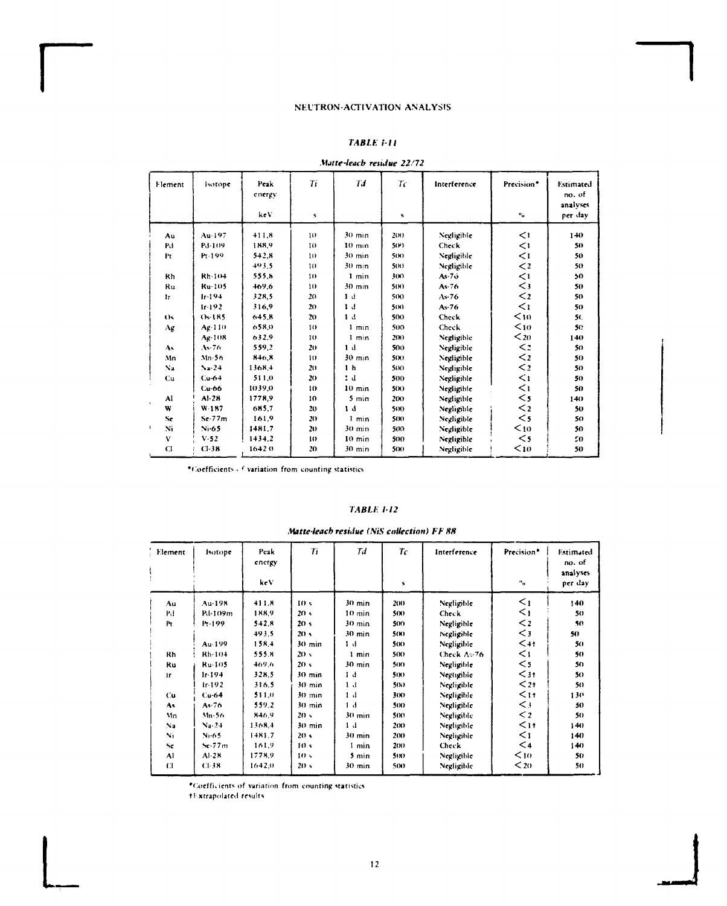## *TABU: ÍII*

*Matte-leacb residue 22/72* 

| Element             | Isotope       | Peak<br>energy<br>keV | Ti<br>s         | Tđ               | Tc<br>${\bf S}$ | Interference | Precision*<br>$\mathbf{u}_\alpha$ | Estimated<br>no. of<br>analyses<br>per day |
|---------------------|---------------|-----------------------|-----------------|------------------|-----------------|--------------|-----------------------------------|--------------------------------------------|
|                     |               |                       |                 |                  |                 |              |                                   |                                            |
| Au                  | Au-197        | 411.8                 | 10              | $30 \text{ min}$ | 200             | Negligible   | $\leq$                            | 140                                        |
| Pd                  | Pd-109        | 188.9                 | 10              | $10 \text{ min}$ | 5(Y)            | Check        | $\leq$                            | 50                                         |
| Pτ                  | Pr-199        | 542.8                 | 10              | $30 \text{ min}$ | 500             | Negligible   | $\leq$ 1                          | 50                                         |
|                     |               | 493.5                 | 10              | $30 \text{ min}$ | 5(1)            | Negligible   | $\lt$ 2                           | 50                                         |
| Rh                  | Rh-104        | 555.8                 | 10              | $1$ min          | 30O             | $As-76$      | $\leq$ 1                          | 50                                         |
| Ru                  | Ru-105        | 469.6                 | 10              | $30 \text{ min}$ | 50O             | $As-76$      | $\leq$ 3                          | 50                                         |
| 1r                  | $Ir-194$      | 328.5                 | 20              | 1 <sub>d</sub>   | 500             | $As-76$      | $\leq$ 2                          | 50                                         |
|                     | $1r-192$      | 316.9                 | 20              | 1 <sub>d</sub>   | 500             | $As-76$      | $\leq$ 1                          | 50                                         |
| $^{()}$             | $Os-185$      | 645.8                 | 20              | 1 <sub>d</sub>   | 500             | Check        | $10$                              | 5(                                         |
| Αg                  | Ag-110        | 658.0                 | 10              | 1 min            | 500             | Check        | $10$                              | 50                                         |
|                     | Ag-108        | 632.9                 | 10              | 1 min            | 200             | Negligible   | $20$                              | 140                                        |
| As                  | $As-76$       | 559.2                 | 20              | 1 <sub>d</sub>   | 500             | Negligible   | $\leq$ 2                          | 50                                         |
| Mn                  | $Mn-56$       | 846.8                 | 10              | $30$ min.        | 500             | Negligible   | $\lt_2$                           | 50                                         |
| N <sub>2</sub>      | $\frac{1}{2}$ | 1368.4                | 20              | 1 <sub>h</sub>   | 500             | Negligible   | $\leq$ 2                          | 50                                         |
| Cu                  | $Cu-64$       | 511.0                 | 20 <sub>2</sub> | t d              | 500             | Negligible   | $\leq$ 1                          | 50                                         |
|                     | $Cu-66$       | 1039.0                | 10              | $10 \text{ min}$ | 500             | Negligible   | $\leq$ 1                          | 50                                         |
| Al<br>$\cdot$       | $AI-2B$       | 1778.9                | 10              | 5 min            | 200             | Negligible   | $\leq$ 5                          | 140                                        |
| W                   | $W-187$       | 685.7                 | 20              | 1 <sub>d</sub>   | 500             | Negligible   | $\leq$ 2                          | 50                                         |
| Se.                 | $Sc-77m$      | 161.9                 | 20              | $1$ min          | 500             | Negligible   | $\leq$ 5                          | 50                                         |
| $\mathbf{N}_1$<br>€ | $Ni-65$       | 1481.7                | 20              | $30 \text{ min}$ | 500             | Negligible   | $10$                              | 50                                         |
| v                   | $V-52$        | 1434.2                | 10              | $10$ min         | 500             | Negligible   | $\leq$                            | 50                                         |
| CI                  | $C1-38$       | 16420                 | 20              | $30 \text{ min}$ | 500             | Negligible   | $10$                              | 50                                         |

•Coefficients . *<sup>f</sup>* variation from counting statistics

## *TABLE 1-12*

*Matte-leach residue (NiS collection) FF 88* 

| Element      | Isotope     | Peak<br>encrgy | $T_{1}$          | Td               | Tc   | Interference | Precision <sup>®</sup> | Estimated<br>no. of |
|--------------|-------------|----------------|------------------|------------------|------|--------------|------------------------|---------------------|
|              |             | ke V           |                  |                  | s    |              | $\mathbf{a}_0$         | analyses<br>per day |
| Au           | $Au-198$    | 411.8          | 10 <sub>s</sub>  | $30 \text{ min}$ | 200  | Negligible   | $\leq_1$               | 140                 |
| Рđ           | Pd-109m     | 188.9          | 20 <sub>5</sub>  | $10 \text{ min}$ | 500  | <b>Check</b> | $\leq_1$               | 50                  |
| Pτ           | Pr-199      | $5 + 2.8$      | 20 <sub>5</sub>  | $30 \text{ min}$ | 500  | Negligible   | $\lt_2$                | 50                  |
|              |             | 493.5          | 20 <sub>5</sub>  | $30 \text{ min}$ | 500  | Negligible   | $\leq$ 3               | 50                  |
|              | Au·199      | 158.4          | $30$ min         | 1 d              | 500  | Negligible   | $< + +$                | 50                  |
| Rh           | Rh-104      | 555.R          | 20<              | 1 min            | 500  | Check As 76  | $\leq$ 1               | 50                  |
| Ru           | Ru-105      | 469.6          | 20 <sub>s</sub>  | $30 \text{ min}$ | 500  | Negligible   | $<$ 5                  | 50                  |
| Ir.          | $1r - 194$  | 328.5          | $30 \text{ min}$ | 1 d              | 50O  | Negligibie   | $3†$                   | 50                  |
|              | $1r-192$    | 316.5          | $30 \text{ min}$ | 1 <sub>1</sub>   | 50O  | Negligible   | $\leq$ 2+              | 50                  |
| Cu           | $Cu-64$     | 511.0          | $30 \text{ min}$ | 1 <sub>1</sub>   | 30O  | Negligible   | $\leq$ 1 t             | 130                 |
| As           | $As-76$     | 559.2          | $30 \text{ min}$ | 1 <sub>d</sub>   | 500  | Negligible   | $\leq$ 3               | 50                  |
| Mn           | $Mn-56$     | 846.9          | 20 <sub>2</sub>  | $30 \text{ min}$ | 500  | Negligible   | $\leq$ 2               | 5()                 |
| Na           | $N_4 - 2.4$ | 1368.4         | $30 \text{ min}$ | 1 <sub>d</sub>   | 200  | Negligible   | $\leq$ 1 t             | 140                 |
| Ni           | $Ni-65$     | 1481.7         | 20 <sub>5</sub>  | $30$ min         | 200  | Negligible   | $\leq$ 1               | 140                 |
| Se           | $Se-77m$    | 161.9          | 10 <sub>s</sub>  | 1 min            | 2(N) | Check        | $\leq 4$               | 140                 |
| AI           | $AI-21$     | 1778.9         | 10 <sub>5</sub>  | $5$ min          | 500  | Negligible   | $10$                   | 50                  |
| $\mathbf{C}$ | CL38        | 1642.0         | 20 <sub>s</sub>  | $30 \text{ min}$ | 500  | Negligible   | $20$                   | 50                  |

'Coefficients of variation from counting statistics

tl-xtrapolated results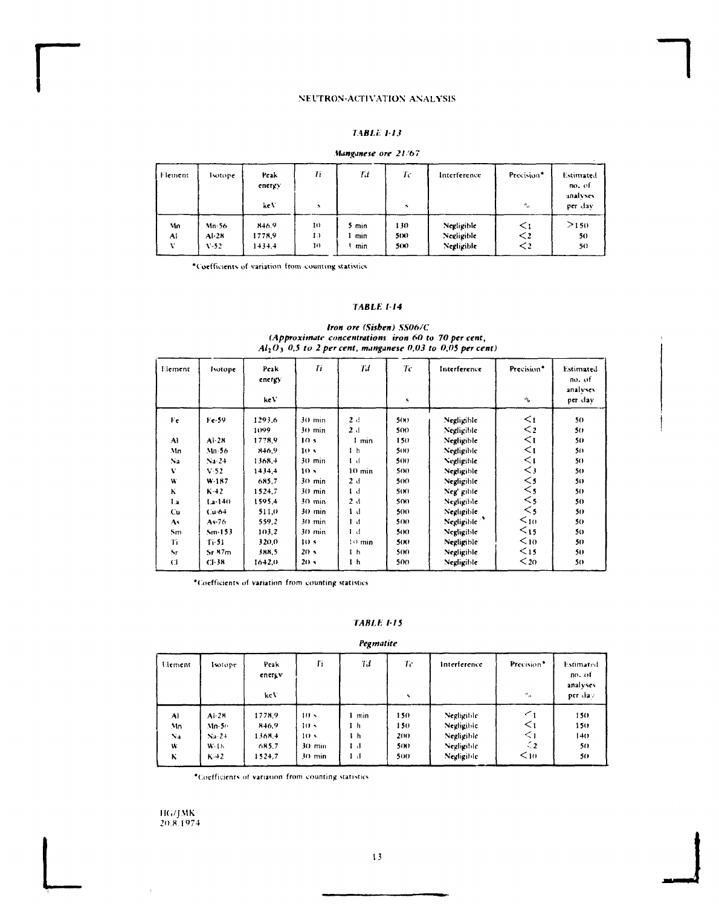## **7 4B/.Í.** *1-13*

#### *Manganese ore 21 '67*

| l Fleinent. | <b>Isotope</b> | Peak<br>energy<br>keV | 77<br>$\lambda$ | Til   | Тc<br>Ń. | Interference | Precision <sup>®</sup><br>$\sigma^0$ | Estimated<br>no. of<br>analyses<br>per dav |
|-------------|----------------|-----------------------|-----------------|-------|----------|--------------|--------------------------------------|--------------------------------------------|
| Mn          | $Mn-56$        | 846.9                 | 10              | 5 min | 130      | Negligible   | $\leq$ 1                             | >150                                       |
| Al          | $Al-28$        | 1778,9                | Ð               | min   | 5(N)     | Negligible   | $\lt$ 2                              | 50                                         |
| $\cdot$     | $V-52$         | $1 + 3 + 4$           | 10              | min   | 5(X)     | Negligible   | $\mathbf{<}$                         | 50.                                        |

•Coefficients of variation from counting statistics

## *TABLE 1-14*

### *Iron ore (Sisben) SS06/C (Approximate concentrations iron 60 to 70 per cent, Ali O) 0,5 to 2 per cent, manganese 0,03 to 0,05 per cent)*

| Element        | Isotope     | Peak<br>energy | Ti               | Td               | Tc   | Interference            | Precision <sup>*</sup> | Estimated<br>no. of<br>analyses |
|----------------|-------------|----------------|------------------|------------------|------|-------------------------|------------------------|---------------------------------|
|                |             | ke V           |                  |                  | 5    |                         | $\mathbf{e}_0$         | per dav                         |
| Fe             | Fe-59       | 1293.6         | $30 \text{ min}$ | 2d               | 5(X) | Negligible              | $\leq_1$               | 50                              |
|                |             | 1099           | 30 min           | 2 d              | 500  | Negligible              | $<$ 2                  | 50                              |
| A)             | $Al-2R$     | 1778.9         | 10 <sub>s</sub>  | 1 min            | 150  | Negligible              | $\leq$                 | 50                              |
| Mn             | $Mn-56$     | 846,9          | 10 <sup>5</sup>  | 1 <sub>h</sub>   | 50O  | Negligible              | $\leq$                 | 50                              |
| N <sub>2</sub> | $Na-24$     | 1368.4         | $30 \text{ min}$ | $1-d$            | 500  | Negligible              | $\leq$ 1               | 50                              |
| V              | $V-52$      | 1434.4         | 10 <sub>s</sub>  | $10 \text{ min}$ | 500  | Negligible              | $\mathord{<}$ 3        | 50                              |
| W              | $W-187$     | 685.7          | $30 \text{ min}$ | 2d               | 500  | Negligible              | $\leq$ 5               | 50                              |
| ĸ              | $K - 2$     | 1524.7         | 30 min           | 1 <sub>d</sub>   | 50O  | Neg' gible              | $\lt$ 5                | 50                              |
| 1.2            | $1.2 - 140$ | 1595.4         | $30 \text{ min}$ | 2 d              | 50O  | Negligible              | $<$ 5                  | 50                              |
| C.u            | $Cu-64$     | 511.0          | $30 \text{ min}$ | 1 d              | 500  | Negligible              | $<$ s                  | 50                              |
| As             | As 76       | 559.2          | 30 min           | 1 <sub>d</sub>   | 500  | Negligible <sup>3</sup> | $\leq_{10}$            | 50                              |
| S <sub>m</sub> | $Sm-153$    | 103.2          | 30 min           | 1 <sub>d</sub>   | 500  | Negligible              | $15$                   | 50                              |
| Tí             | $T - 51$    | 320.0          | 10 <sub>s</sub>  | $10 \text{ min}$ | 500  | Negligible              | $10$                   | 50                              |
| Sr             | Sr.87m      | 388.5          | 20 <sub>5</sub>  | 1 <sub>h</sub>   | 500  | Negligible              | $<$ 15                 | 50                              |
| $\mathbf C$    | $Cl-3R$     | 1642.0         | 20 <sub>s</sub>  | 1h               | 500  | Negligible              | $20$                   | 50                              |

"Coefficients of variation from counting statistics

## **TABLE 115**

## *Pegmatite*

| Element | <b>Isotope</b> | Peak<br>energy<br>keV | Ti              | Tď  | Tc<br>× | Interference | Precision*<br>$^{\circ}$ o | Estimated<br>no. of<br>analyses<br>per day |
|---------|----------------|-----------------------|-----------------|-----|---------|--------------|----------------------------|--------------------------------------------|
| AI      | $Al-28$        | 1778.9                | 10 <sup>5</sup> | min | 150     | Negligible   | $\leq_1$                   | 150                                        |
| Mn      | $Mn-50$        | 846.9                 | 10 <sub>2</sub> | 1 h | 150     | Negligible   | $\leq$ 1                   | 150                                        |
| Na      | $Na-24$        | 1368.4                | 10 <sub>5</sub> | i h | 200     | Negligible   | $\leq$                     | 140                                        |
| w       | $W-1$          | 685.7                 | $30$ min        | 1 J | 500     | Negligible   | $\leq$ 2                   | 50                                         |
| К       | $K-42$         | 1524.7                | 30 min          | 1 d | 500     | Negligible   | $10$                       | 50                                         |

•(Coefficients of variation from counting statistics

**IK./JMK**  20.8.**1** 974